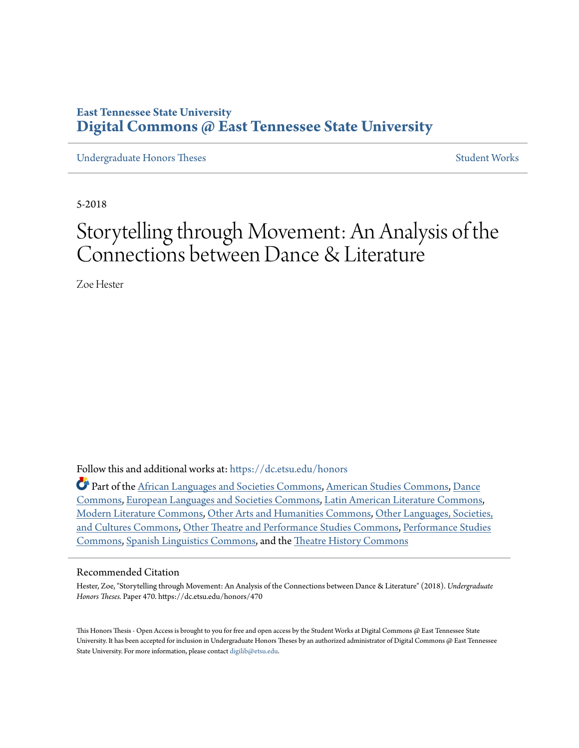# **East Tennessee State University [Digital Commons @ East Tennessee State University](https://dc.etsu.edu?utm_source=dc.etsu.edu%2Fhonors%2F470&utm_medium=PDF&utm_campaign=PDFCoverPages)**

[Undergraduate Honors Theses](https://dc.etsu.edu/honors?utm_source=dc.etsu.edu%2Fhonors%2F470&utm_medium=PDF&utm_campaign=PDFCoverPages) [Student Works](https://dc.etsu.edu/student-works?utm_source=dc.etsu.edu%2Fhonors%2F470&utm_medium=PDF&utm_campaign=PDFCoverPages)

5-2018

# Storytelling through Movement: An Analysis of the Connections between Dance & Literature

Zoe Hester

Follow this and additional works at: [https://dc.etsu.edu/honors](https://dc.etsu.edu/honors?utm_source=dc.etsu.edu%2Fhonors%2F470&utm_medium=PDF&utm_campaign=PDFCoverPages)

Part of the [African Languages and Societies Commons](http://network.bepress.com/hgg/discipline/476?utm_source=dc.etsu.edu%2Fhonors%2F470&utm_medium=PDF&utm_campaign=PDFCoverPages), [American Studies Commons](http://network.bepress.com/hgg/discipline/439?utm_source=dc.etsu.edu%2Fhonors%2F470&utm_medium=PDF&utm_campaign=PDFCoverPages), [Dance](http://network.bepress.com/hgg/discipline/554?utm_source=dc.etsu.edu%2Fhonors%2F470&utm_medium=PDF&utm_campaign=PDFCoverPages) [Commons,](http://network.bepress.com/hgg/discipline/554?utm_source=dc.etsu.edu%2Fhonors%2F470&utm_medium=PDF&utm_campaign=PDFCoverPages) [European Languages and Societies Commons](http://network.bepress.com/hgg/discipline/482?utm_source=dc.etsu.edu%2Fhonors%2F470&utm_medium=PDF&utm_campaign=PDFCoverPages), [Latin American Literature Commons](http://network.bepress.com/hgg/discipline/547?utm_source=dc.etsu.edu%2Fhonors%2F470&utm_medium=PDF&utm_campaign=PDFCoverPages), [Modern Literature Commons,](http://network.bepress.com/hgg/discipline/1050?utm_source=dc.etsu.edu%2Fhonors%2F470&utm_medium=PDF&utm_campaign=PDFCoverPages) [Other Arts and Humanities Commons](http://network.bepress.com/hgg/discipline/577?utm_source=dc.etsu.edu%2Fhonors%2F470&utm_medium=PDF&utm_campaign=PDFCoverPages), [Other Languages, Societies,](http://network.bepress.com/hgg/discipline/475?utm_source=dc.etsu.edu%2Fhonors%2F470&utm_medium=PDF&utm_campaign=PDFCoverPages) [and Cultures Commons,](http://network.bepress.com/hgg/discipline/475?utm_source=dc.etsu.edu%2Fhonors%2F470&utm_medium=PDF&utm_campaign=PDFCoverPages) [Other Theatre and Performance Studies Commons,](http://network.bepress.com/hgg/discipline/558?utm_source=dc.etsu.edu%2Fhonors%2F470&utm_medium=PDF&utm_campaign=PDFCoverPages) [Performance Studies](http://network.bepress.com/hgg/discipline/556?utm_source=dc.etsu.edu%2Fhonors%2F470&utm_medium=PDF&utm_campaign=PDFCoverPages) [Commons,](http://network.bepress.com/hgg/discipline/556?utm_source=dc.etsu.edu%2Fhonors%2F470&utm_medium=PDF&utm_campaign=PDFCoverPages) [Spanish Linguistics Commons](http://network.bepress.com/hgg/discipline/549?utm_source=dc.etsu.edu%2Fhonors%2F470&utm_medium=PDF&utm_campaign=PDFCoverPages), and the [Theatre History Commons](http://network.bepress.com/hgg/discipline/553?utm_source=dc.etsu.edu%2Fhonors%2F470&utm_medium=PDF&utm_campaign=PDFCoverPages)

#### Recommended Citation

Hester, Zoe, "Storytelling through Movement: An Analysis of the Connections between Dance & Literature" (2018). *Undergraduate Honors Theses.* Paper 470. https://dc.etsu.edu/honors/470

This Honors Thesis - Open Access is brought to you for free and open access by the Student Works at Digital Commons @ East Tennessee State University. It has been accepted for inclusion in Undergraduate Honors Theses by an authorized administrator of Digital Commons @ East Tennessee State University. For more information, please contact [digilib@etsu.edu.](mailto:digilib@etsu.edu)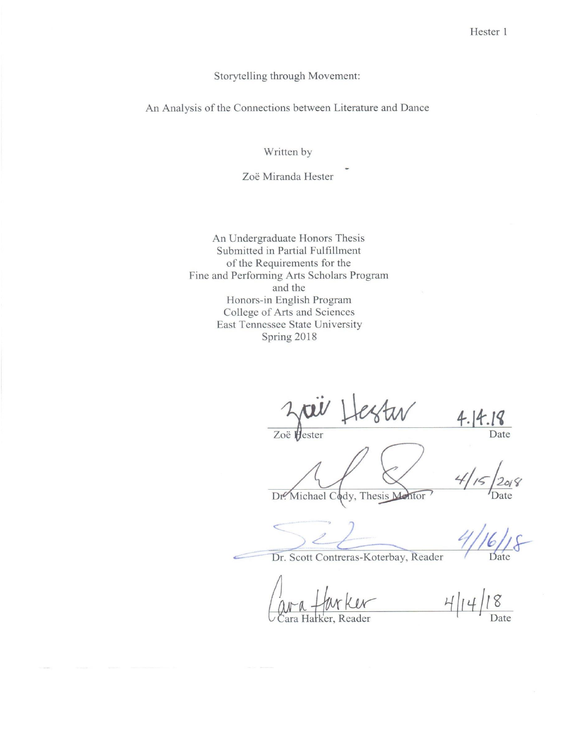Storytelling through Movement:

An Analysis of the Connections between Literature and Dance

Written by

Zoë Miranda Hester

An Undergraduate Honors Thesis Submitted in Partial Fulfillment of the Requirements for the Fine and Performing Arts Scholars Program and the Honors-in English Program College of Arts and Sciences East Tennessee State University Spring 2018

 $4.14.18$ Zoë Hester

Date

Date

Dr. Scott Contreras-Koterbay, Reader

Dr. Michael Cody, Thesis Mentor

ara Harker, Reader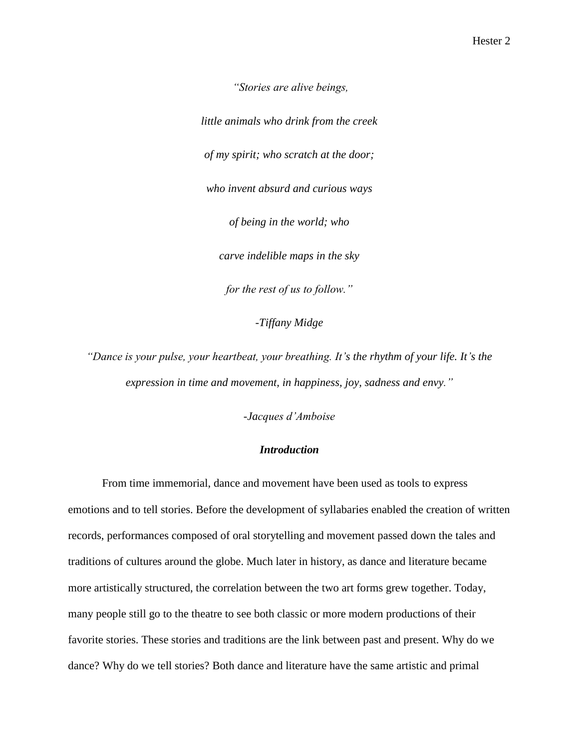*"Stories are alive beings,*

*little animals who drink from the creek of my spirit; who scratch at the door; who invent absurd and curious ways of being in the world; who carve indelible maps in the sky for the rest of us to follow."*

*-Tiffany Midge*

*"Dance is your pulse, your heartbeat, your breathing. It's the rhythm of your life. It's the expression in time and movement, in happiness, joy, sadness and envy."*

*-Jacques d'Amboise*

#### *Introduction*

From time immemorial, dance and movement have been used as tools to express emotions and to tell stories. Before the development of syllabaries enabled the creation of written records, performances composed of oral storytelling and movement passed down the tales and traditions of cultures around the globe. Much later in history, as dance and literature became more artistically structured, the correlation between the two art forms grew together. Today, many people still go to the theatre to see both classic or more modern productions of their favorite stories. These stories and traditions are the link between past and present. Why do we dance? Why do we tell stories? Both dance and literature have the same artistic and primal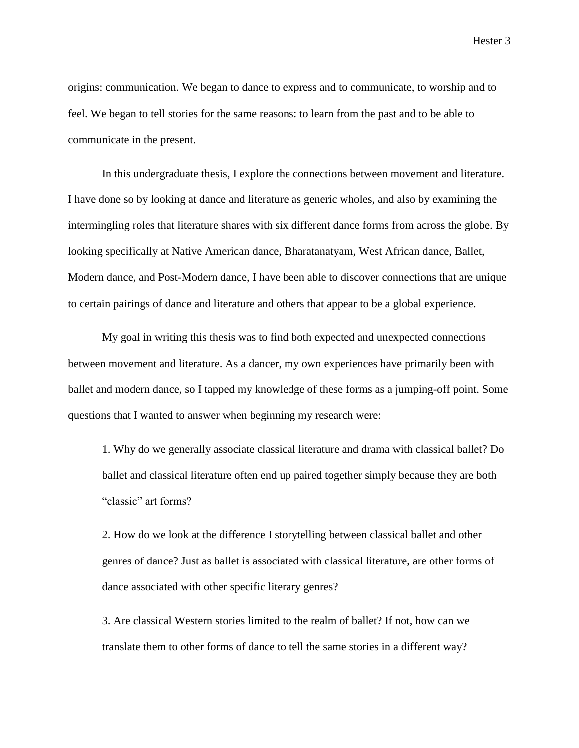origins: communication. We began to dance to express and to communicate, to worship and to feel. We began to tell stories for the same reasons: to learn from the past and to be able to communicate in the present.

In this undergraduate thesis, I explore the connections between movement and literature. I have done so by looking at dance and literature as generic wholes, and also by examining the intermingling roles that literature shares with six different dance forms from across the globe. By looking specifically at Native American dance, Bharatanatyam, West African dance, Ballet, Modern dance, and Post-Modern dance, I have been able to discover connections that are unique to certain pairings of dance and literature and others that appear to be a global experience.

My goal in writing this thesis was to find both expected and unexpected connections between movement and literature. As a dancer, my own experiences have primarily been with ballet and modern dance, so I tapped my knowledge of these forms as a jumping-off point. Some questions that I wanted to answer when beginning my research were:

1. Why do we generally associate classical literature and drama with classical ballet? Do ballet and classical literature often end up paired together simply because they are both "classic" art forms?

2. How do we look at the difference I storytelling between classical ballet and other genres of dance? Just as ballet is associated with classical literature, are other forms of dance associated with other specific literary genres?

3. Are classical Western stories limited to the realm of ballet? If not, how can we translate them to other forms of dance to tell the same stories in a different way?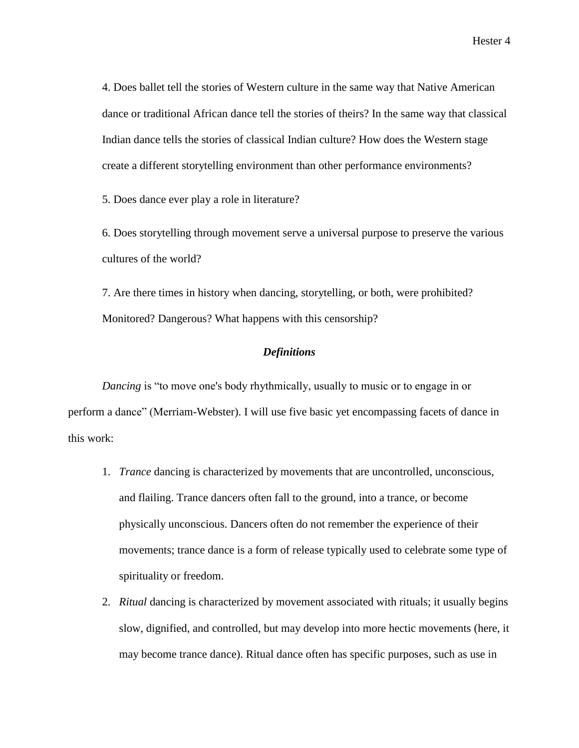4. Does ballet tell the stories of Western culture in the same way that Native American dance or traditional African dance tell the stories of theirs? In the same way that classical Indian dance tells the stories of classical Indian culture? How does the Western stage create a different storytelling environment than other performance environments?

5. Does dance ever play a role in literature?

6. Does storytelling through movement serve a universal purpose to preserve the various cultures of the world?

7. Are there times in history when dancing, storytelling, or both, were prohibited? Monitored? Dangerous? What happens with this censorship?

#### *Definitions*

*Dancing* is "to move one's body rhythmically, usually to music or to engage in or perform a dance" (Merriam-Webster). I will use five basic yet encompassing facets of dance in this work:

- 1. *Trance* dancing is characterized by movements that are uncontrolled, unconscious, and flailing. Trance dancers often fall to the ground, into a trance, or become physically unconscious. Dancers often do not remember the experience of their movements; trance dance is a form of release typically used to celebrate some type of spirituality or freedom.
- 2. *Ritual* dancing is characterized by movement associated with rituals; it usually begins slow, dignified, and controlled, but may develop into more hectic movements (here, it may become trance dance). Ritual dance often has specific purposes, such as use in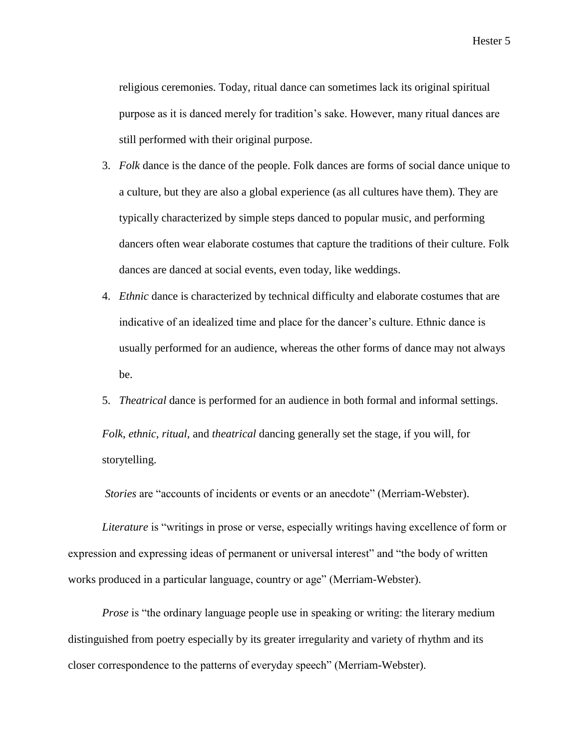religious ceremonies. Today, ritual dance can sometimes lack its original spiritual purpose as it is danced merely for tradition's sake. However, many ritual dances are still performed with their original purpose.

- 3. *Folk* dance is the dance of the people. Folk dances are forms of social dance unique to a culture, but they are also a global experience (as all cultures have them). They are typically characterized by simple steps danced to popular music, and performing dancers often wear elaborate costumes that capture the traditions of their culture. Folk dances are danced at social events, even today, like weddings.
- 4. *Ethnic* dance is characterized by technical difficulty and elaborate costumes that are indicative of an idealized time and place for the dancer's culture. Ethnic dance is usually performed for an audience, whereas the other forms of dance may not always be.
- 5. *Theatrical* dance is performed for an audience in both formal and informal settings.

*Folk*, *ethnic, ritual,* and *theatrical* dancing generally set the stage, if you will, for storytelling.

*Stories* are "accounts of incidents or events or an anecdote" (Merriam-Webster).

*Literature* is "writings in prose or verse, especially writings having excellence of form or expression and expressing ideas of permanent or universal interest" and "the body of written works produced in a particular language, country or age" (Merriam-Webster).

*Prose* is "the ordinary language people use in speaking or writing: the literary medium distinguished from poetry especially by its greater irregularity and variety of rhythm and its closer correspondence to the patterns of everyday speech" (Merriam-Webster).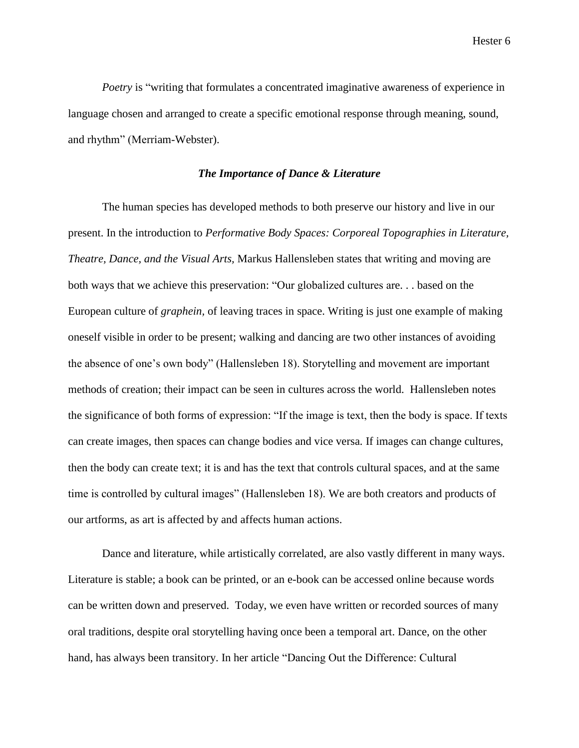*Poetry* is "writing that formulates a concentrated imaginative awareness of experience in language chosen and arranged to create a specific emotional response through meaning, sound, and rhythm" (Merriam-Webster).

### *The Importance of Dance & Literature*

The human species has developed methods to both preserve our history and live in our present. In the introduction to *Performative Body Spaces: Corporeal Topographies in Literature, Theatre, Dance, and the Visual Arts,* Markus Hallensleben states that writing and moving are both ways that we achieve this preservation: "Our globalized cultures are. . . based on the European culture of *graphein,* of leaving traces in space. Writing is just one example of making oneself visible in order to be present; walking and dancing are two other instances of avoiding the absence of one's own body" (Hallensleben 18). Storytelling and movement are important methods of creation; their impact can be seen in cultures across the world. Hallensleben notes the significance of both forms of expression: "If the image is text, then the body is space. If texts can create images, then spaces can change bodies and vice versa. If images can change cultures, then the body can create text; it is and has the text that controls cultural spaces, and at the same time is controlled by cultural images" (Hallensleben 18). We are both creators and products of our artforms, as art is affected by and affects human actions.

Dance and literature, while artistically correlated, are also vastly different in many ways. Literature is stable; a book can be printed, or an e-book can be accessed online because words can be written down and preserved. Today, we even have written or recorded sources of many oral traditions, despite oral storytelling having once been a temporal art. Dance, on the other hand, has always been transitory. In her article "Dancing Out the Difference: Cultural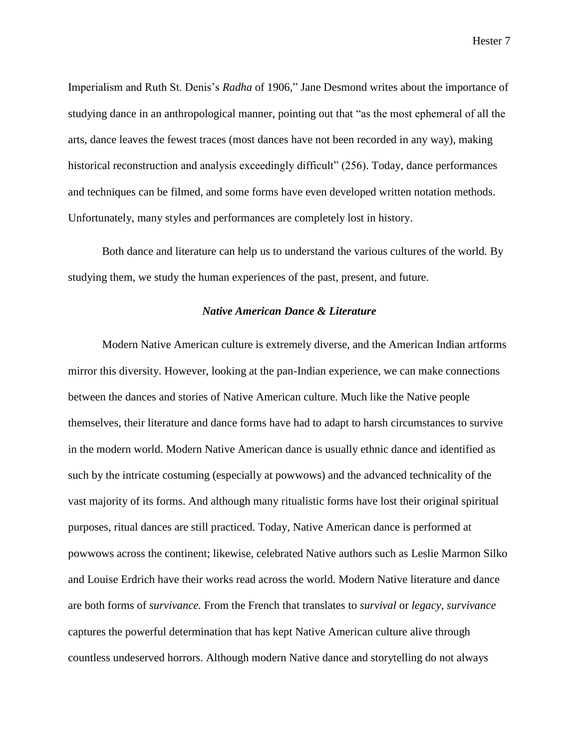Imperialism and Ruth St. Denis's *Radha* of 1906," Jane Desmond writes about the importance of studying dance in an anthropological manner, pointing out that "as the most ephemeral of all the arts, dance leaves the fewest traces (most dances have not been recorded in any way), making historical reconstruction and analysis exceedingly difficult" (256). Today, dance performances and techniques can be filmed, and some forms have even developed written notation methods. Unfortunately, many styles and performances are completely lost in history.

Both dance and literature can help us to understand the various cultures of the world. By studying them, we study the human experiences of the past, present, and future.

# *Native American Dance & Literature*

Modern Native American culture is extremely diverse, and the American Indian artforms mirror this diversity. However, looking at the pan-Indian experience, we can make connections between the dances and stories of Native American culture. Much like the Native people themselves, their literature and dance forms have had to adapt to harsh circumstances to survive in the modern world. Modern Native American dance is usually ethnic dance and identified as such by the intricate costuming (especially at powwows) and the advanced technicality of the vast majority of its forms. And although many ritualistic forms have lost their original spiritual purposes, ritual dances are still practiced. Today, Native American dance is performed at powwows across the continent; likewise, celebrated Native authors such as Leslie Marmon Silko and Louise Erdrich have their works read across the world. Modern Native literature and dance are both forms of *survivance.* From the French that translates to *survival* or *legacy, survivance*  captures the powerful determination that has kept Native American culture alive through countless undeserved horrors. Although modern Native dance and storytelling do not always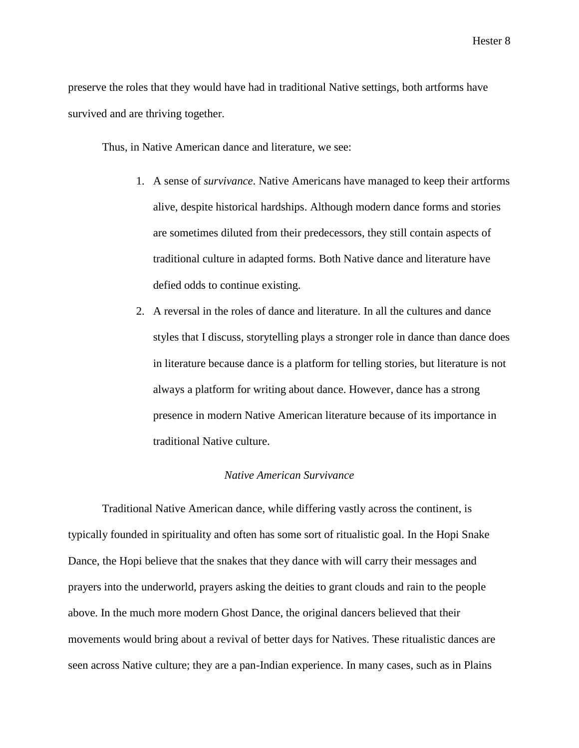preserve the roles that they would have had in traditional Native settings, both artforms have survived and are thriving together.

Thus, in Native American dance and literature, we see:

- 1. A sense of *survivance*. Native Americans have managed to keep their artforms alive, despite historical hardships. Although modern dance forms and stories are sometimes diluted from their predecessors, they still contain aspects of traditional culture in adapted forms. Both Native dance and literature have defied odds to continue existing.
- 2. A reversal in the roles of dance and literature. In all the cultures and dance styles that I discuss, storytelling plays a stronger role in dance than dance does in literature because dance is a platform for telling stories, but literature is not always a platform for writing about dance. However, dance has a strong presence in modern Native American literature because of its importance in traditional Native culture.

#### *Native American Survivance*

Traditional Native American dance, while differing vastly across the continent, is typically founded in spirituality and often has some sort of ritualistic goal. In the Hopi Snake Dance, the Hopi believe that the snakes that they dance with will carry their messages and prayers into the underworld, prayers asking the deities to grant clouds and rain to the people above. In the much more modern Ghost Dance, the original dancers believed that their movements would bring about a revival of better days for Natives. These ritualistic dances are seen across Native culture; they are a pan-Indian experience. In many cases, such as in Plains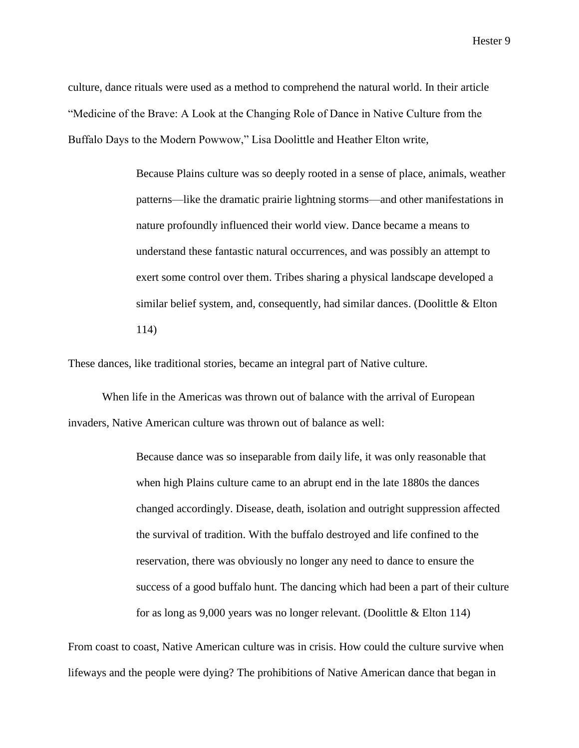culture, dance rituals were used as a method to comprehend the natural world. In their article "Medicine of the Brave: A Look at the Changing Role of Dance in Native Culture from the Buffalo Days to the Modern Powwow," Lisa Doolittle and Heather Elton write,

> Because Plains culture was so deeply rooted in a sense of place, animals, weather patterns—like the dramatic prairie lightning storms—and other manifestations in nature profoundly influenced their world view. Dance became a means to understand these fantastic natural occurrences, and was possibly an attempt to exert some control over them. Tribes sharing a physical landscape developed a similar belief system, and, consequently, had similar dances. (Doolittle  $& Elton$ ) 114)

These dances, like traditional stories, became an integral part of Native culture.

When life in the Americas was thrown out of balance with the arrival of European invaders, Native American culture was thrown out of balance as well:

> Because dance was so inseparable from daily life, it was only reasonable that when high Plains culture came to an abrupt end in the late 1880s the dances changed accordingly. Disease, death, isolation and outright suppression affected the survival of tradition. With the buffalo destroyed and life confined to the reservation, there was obviously no longer any need to dance to ensure the success of a good buffalo hunt. The dancing which had been a part of their culture for as long as 9,000 years was no longer relevant. (Doolittle & Elton 114)

From coast to coast, Native American culture was in crisis. How could the culture survive when lifeways and the people were dying? The prohibitions of Native American dance that began in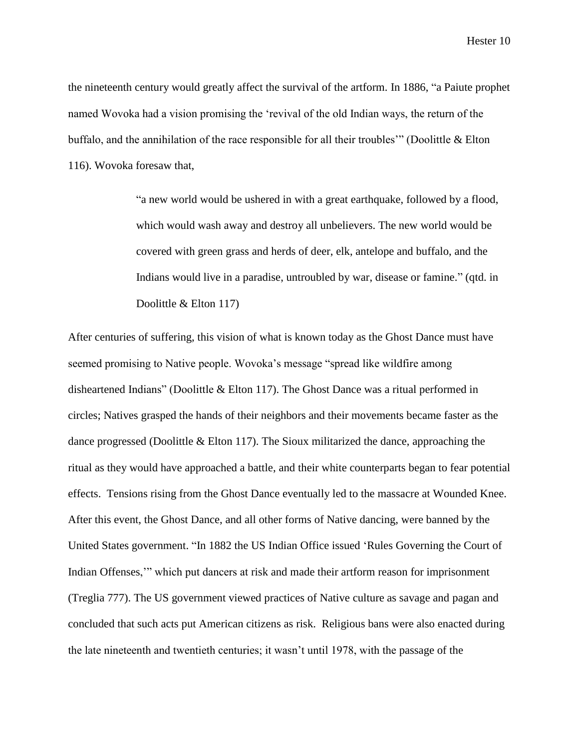the nineteenth century would greatly affect the survival of the artform. In 1886, "a Paiute prophet named Wovoka had a vision promising the 'revival of the old Indian ways, the return of the buffalo, and the annihilation of the race responsible for all their troubles'" (Doolittle & Elton 116). Wovoka foresaw that,

> "a new world would be ushered in with a great earthquake, followed by a flood, which would wash away and destroy all unbelievers. The new world would be covered with green grass and herds of deer, elk, antelope and buffalo, and the Indians would live in a paradise, untroubled by war, disease or famine." (qtd. in Doolittle & Elton 117)

After centuries of suffering, this vision of what is known today as the Ghost Dance must have seemed promising to Native people. Wovoka's message "spread like wildfire among disheartened Indians" (Doolittle & Elton 117). The Ghost Dance was a ritual performed in circles; Natives grasped the hands of their neighbors and their movements became faster as the dance progressed (Doolittle & Elton 117). The Sioux militarized the dance, approaching the ritual as they would have approached a battle, and their white counterparts began to fear potential effects. Tensions rising from the Ghost Dance eventually led to the massacre at Wounded Knee. After this event, the Ghost Dance, and all other forms of Native dancing, were banned by the United States government. "In 1882 the US Indian Office issued 'Rules Governing the Court of Indian Offenses,'" which put dancers at risk and made their artform reason for imprisonment (Treglia 777). The US government viewed practices of Native culture as savage and pagan and concluded that such acts put American citizens as risk. Religious bans were also enacted during the late nineteenth and twentieth centuries; it wasn't until 1978, with the passage of the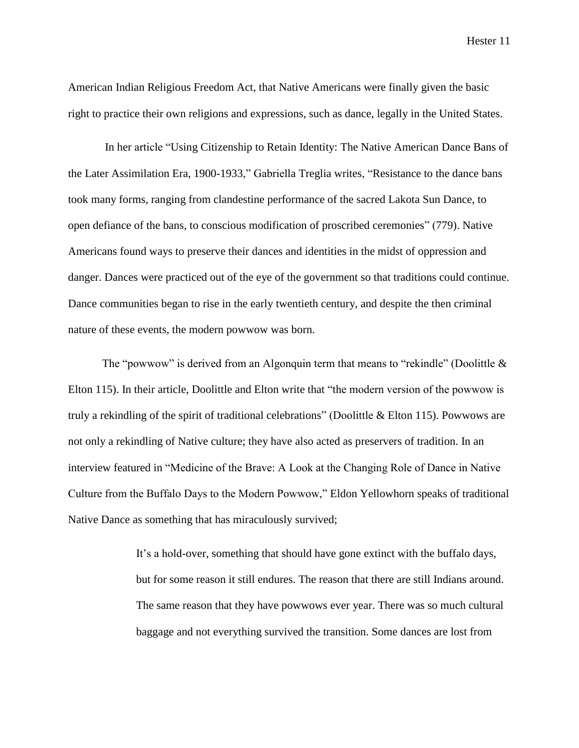American Indian Religious Freedom Act, that Native Americans were finally given the basic right to practice their own religions and expressions, such as dance, legally in the United States.

In her article "Using Citizenship to Retain Identity: The Native American Dance Bans of the Later Assimilation Era, 1900-1933," Gabriella Treglia writes, "Resistance to the dance bans took many forms, ranging from clandestine performance of the sacred Lakota Sun Dance, to open defiance of the bans, to conscious modification of proscribed ceremonies" (779). Native Americans found ways to preserve their dances and identities in the midst of oppression and danger. Dances were practiced out of the eye of the government so that traditions could continue. Dance communities began to rise in the early twentieth century, and despite the then criminal nature of these events, the modern powwow was born.

The "powwow" is derived from an Algonquin term that means to "rekindle" (Doolittle & Elton 115). In their article, Doolittle and Elton write that "the modern version of the powwow is truly a rekindling of the spirit of traditional celebrations" (Doolittle & Elton 115). Powwows are not only a rekindling of Native culture; they have also acted as preservers of tradition. In an interview featured in "Medicine of the Brave: A Look at the Changing Role of Dance in Native Culture from the Buffalo Days to the Modern Powwow," Eldon Yellowhorn speaks of traditional Native Dance as something that has miraculously survived;

> It's a hold-over, something that should have gone extinct with the buffalo days, but for some reason it still endures. The reason that there are still Indians around. The same reason that they have powwows ever year. There was so much cultural baggage and not everything survived the transition. Some dances are lost from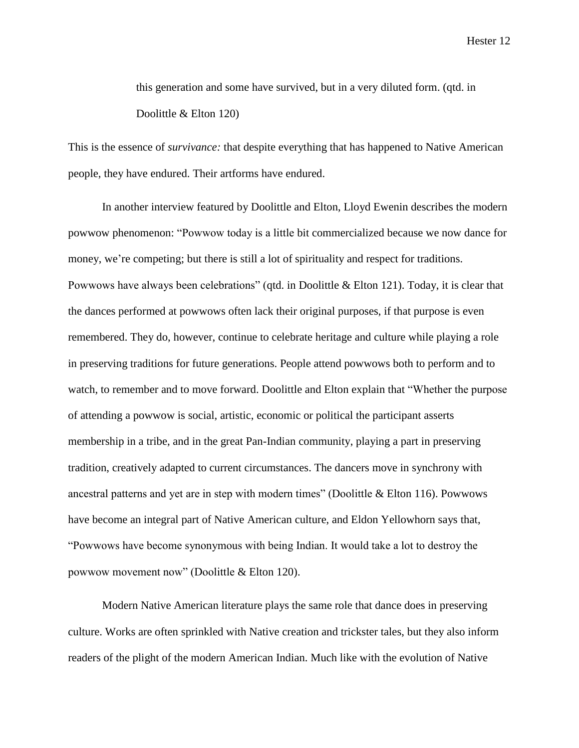this generation and some have survived, but in a very diluted form. (qtd. in Doolittle & Elton 120)

This is the essence of *survivance:* that despite everything that has happened to Native American people, they have endured. Their artforms have endured.

In another interview featured by Doolittle and Elton, Lloyd Ewenin describes the modern powwow phenomenon: "Powwow today is a little bit commercialized because we now dance for money, we're competing; but there is still a lot of spirituality and respect for traditions. Powwows have always been celebrations" (qtd. in Doolittle & Elton 121). Today, it is clear that the dances performed at powwows often lack their original purposes, if that purpose is even remembered. They do, however, continue to celebrate heritage and culture while playing a role in preserving traditions for future generations. People attend powwows both to perform and to watch, to remember and to move forward. Doolittle and Elton explain that "Whether the purpose of attending a powwow is social, artistic, economic or political the participant asserts membership in a tribe, and in the great Pan-Indian community, playing a part in preserving tradition, creatively adapted to current circumstances. The dancers move in synchrony with ancestral patterns and yet are in step with modern times" (Doolittle & Elton 116). Powwows have become an integral part of Native American culture, and Eldon Yellowhorn says that, "Powwows have become synonymous with being Indian. It would take a lot to destroy the powwow movement now" (Doolittle & Elton 120).

Modern Native American literature plays the same role that dance does in preserving culture. Works are often sprinkled with Native creation and trickster tales, but they also inform readers of the plight of the modern American Indian. Much like with the evolution of Native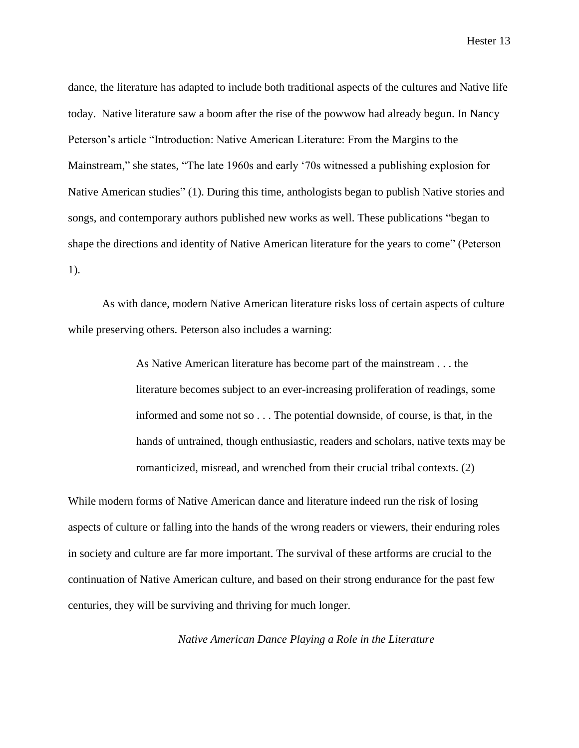dance, the literature has adapted to include both traditional aspects of the cultures and Native life today. Native literature saw a boom after the rise of the powwow had already begun. In Nancy Peterson's article "Introduction: Native American Literature: From the Margins to the Mainstream," she states, "The late 1960s and early '70s witnessed a publishing explosion for Native American studies" (1). During this time, anthologists began to publish Native stories and songs, and contemporary authors published new works as well. These publications "began to shape the directions and identity of Native American literature for the years to come" (Peterson 1).

As with dance, modern Native American literature risks loss of certain aspects of culture while preserving others. Peterson also includes a warning:

> As Native American literature has become part of the mainstream . . . the literature becomes subject to an ever-increasing proliferation of readings, some informed and some not so . . . The potential downside, of course, is that, in the hands of untrained, though enthusiastic, readers and scholars, native texts may be romanticized, misread, and wrenched from their crucial tribal contexts. (2)

While modern forms of Native American dance and literature indeed run the risk of losing aspects of culture or falling into the hands of the wrong readers or viewers, their enduring roles in society and culture are far more important. The survival of these artforms are crucial to the continuation of Native American culture, and based on their strong endurance for the past few centuries, they will be surviving and thriving for much longer.

*Native American Dance Playing a Role in the Literature*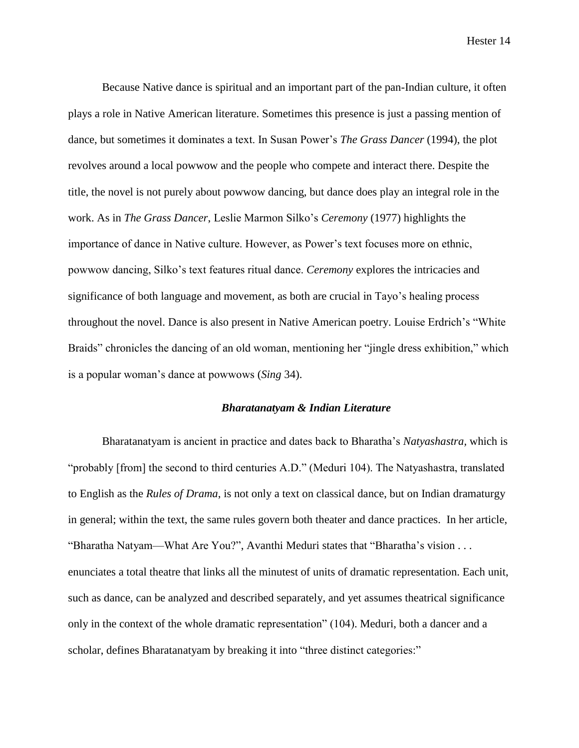Because Native dance is spiritual and an important part of the pan-Indian culture, it often plays a role in Native American literature. Sometimes this presence is just a passing mention of dance, but sometimes it dominates a text. In Susan Power's *The Grass Dancer* (1994), the plot revolves around a local powwow and the people who compete and interact there. Despite the title, the novel is not purely about powwow dancing, but dance does play an integral role in the work. As in *The Grass Dancer*, Leslie Marmon Silko's *Ceremony* (1977) highlights the importance of dance in Native culture. However, as Power's text focuses more on ethnic, powwow dancing, Silko's text features ritual dance. *Ceremony* explores the intricacies and significance of both language and movement, as both are crucial in Tayo's healing process throughout the novel. Dance is also present in Native American poetry. Louise Erdrich's "White Braids" chronicles the dancing of an old woman, mentioning her "jingle dress exhibition," which is a popular woman's dance at powwows (*Sing* 34).

### *Bharatanatyam & Indian Literature*

Bharatanatyam is ancient in practice and dates back to Bharatha's *Natyashastra,* which is "probably [from] the second to third centuries A.D." (Meduri 104). The Natyashastra, translated to English as the *Rules of Drama*, is not only a text on classical dance, but on Indian dramaturgy in general; within the text, the same rules govern both theater and dance practices. In her article, "Bharatha Natyam—What Are You?", Avanthi Meduri states that "Bharatha's vision . . . enunciates a total theatre that links all the minutest of units of dramatic representation. Each unit, such as dance, can be analyzed and described separately, and yet assumes theatrical significance only in the context of the whole dramatic representation" (104). Meduri, both a dancer and a scholar, defines Bharatanatyam by breaking it into "three distinct categories:"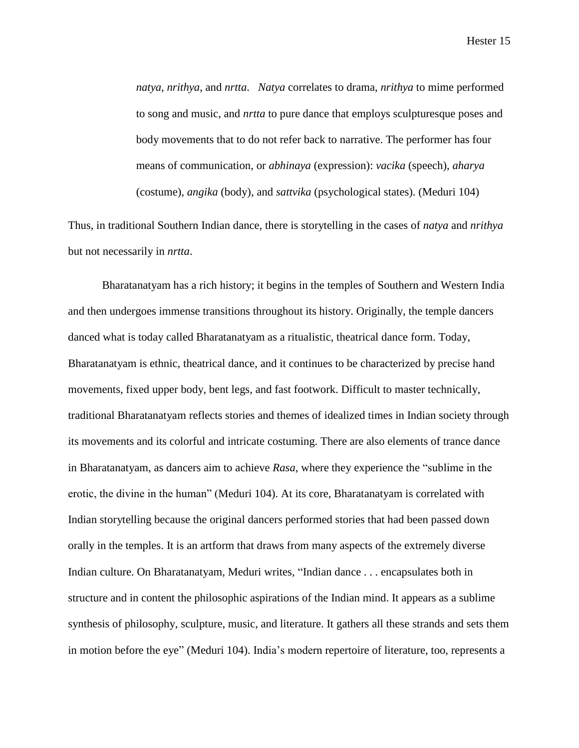*natya, nrithya*, and *nrtta*. *Natya* correlates to drama, *nrithya* to mime performed to song and music, and *nrtta* to pure dance that employs sculpturesque poses and body movements that to do not refer back to narrative. The performer has four means of communication, or *abhinaya* (expression): *vacika* (speech), *aharya* (costume), *angika* (body), and *sattvika* (psychological states). (Meduri 104)

Thus, in traditional Southern Indian dance, there is storytelling in the cases of *natya* and *nrithya* but not necessarily in *nrtta*.

Bharatanatyam has a rich history; it begins in the temples of Southern and Western India and then undergoes immense transitions throughout its history. Originally, the temple dancers danced what is today called Bharatanatyam as a ritualistic, theatrical dance form. Today, Bharatanatyam is ethnic, theatrical dance, and it continues to be characterized by precise hand movements, fixed upper body, bent legs, and fast footwork. Difficult to master technically, traditional Bharatanatyam reflects stories and themes of idealized times in Indian society through its movements and its colorful and intricate costuming. There are also elements of trance dance in Bharatanatyam, as dancers aim to achieve *Rasa*, where they experience the "sublime in the erotic, the divine in the human" (Meduri 104). At its core, Bharatanatyam is correlated with Indian storytelling because the original dancers performed stories that had been passed down orally in the temples. It is an artform that draws from many aspects of the extremely diverse Indian culture. On Bharatanatyam, Meduri writes, "Indian dance . . . encapsulates both in structure and in content the philosophic aspirations of the Indian mind. It appears as a sublime synthesis of philosophy, sculpture, music, and literature. It gathers all these strands and sets them in motion before the eye" (Meduri 104). India's modern repertoire of literature, too, represents a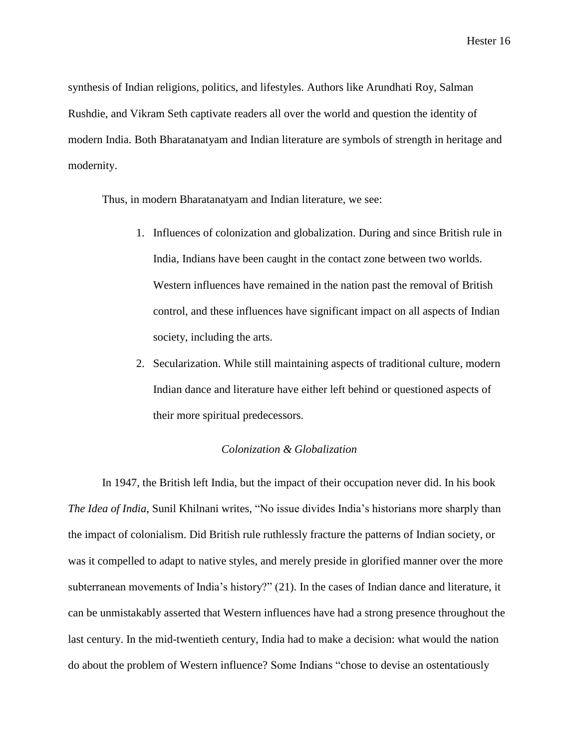synthesis of Indian religions, politics, and lifestyles. Authors like Arundhati Roy, Salman Rushdie, and Vikram Seth captivate readers all over the world and question the identity of modern India. Both Bharatanatyam and Indian literature are symbols of strength in heritage and modernity.

Thus, in modern Bharatanatyam and Indian literature, we see:

- 1. Influences of colonization and globalization. During and since British rule in India, Indians have been caught in the contact zone between two worlds. Western influences have remained in the nation past the removal of British control, and these influences have significant impact on all aspects of Indian society, including the arts.
- 2. Secularization. While still maintaining aspects of traditional culture, modern Indian dance and literature have either left behind or questioned aspects of their more spiritual predecessors.

#### *Colonization & Globalization*

In 1947, the British left India, but the impact of their occupation never did. In his book *The Idea of India*, Sunil Khilnani writes, "No issue divides India's historians more sharply than the impact of colonialism. Did British rule ruthlessly fracture the patterns of Indian society, or was it compelled to adapt to native styles, and merely preside in glorified manner over the more subterranean movements of India's history?" (21). In the cases of Indian dance and literature, it can be unmistakably asserted that Western influences have had a strong presence throughout the last century. In the mid-twentieth century, India had to make a decision: what would the nation do about the problem of Western influence? Some Indians "chose to devise an ostentatiously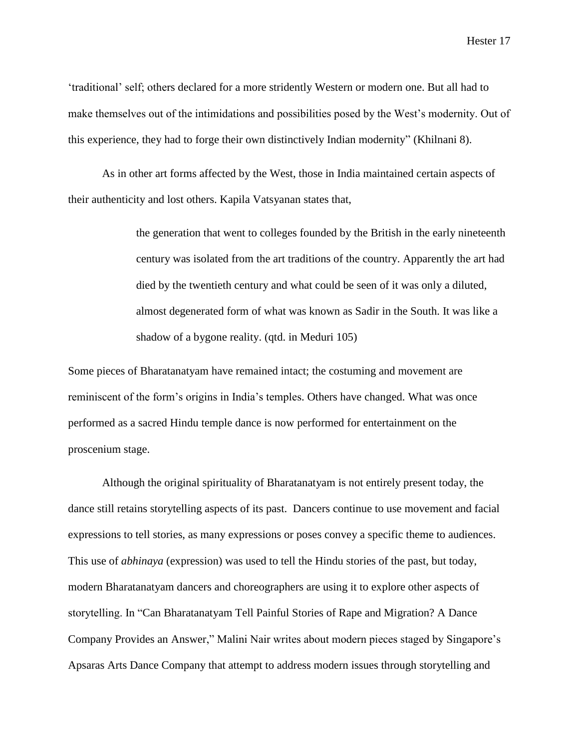'traditional' self; others declared for a more stridently Western or modern one. But all had to make themselves out of the intimidations and possibilities posed by the West's modernity. Out of this experience, they had to forge their own distinctively Indian modernity" (Khilnani 8).

As in other art forms affected by the West, those in India maintained certain aspects of their authenticity and lost others. Kapila Vatsyanan states that,

> the generation that went to colleges founded by the British in the early nineteenth century was isolated from the art traditions of the country. Apparently the art had died by the twentieth century and what could be seen of it was only a diluted, almost degenerated form of what was known as Sadir in the South. It was like a shadow of a bygone reality. (qtd. in Meduri 105)

Some pieces of Bharatanatyam have remained intact; the costuming and movement are reminiscent of the form's origins in India's temples. Others have changed. What was once performed as a sacred Hindu temple dance is now performed for entertainment on the proscenium stage.

Although the original spirituality of Bharatanatyam is not entirely present today, the dance still retains storytelling aspects of its past. Dancers continue to use movement and facial expressions to tell stories, as many expressions or poses convey a specific theme to audiences. This use of *abhinaya* (expression) was used to tell the Hindu stories of the past, but today, modern Bharatanatyam dancers and choreographers are using it to explore other aspects of storytelling. In "Can Bharatanatyam Tell Painful Stories of Rape and Migration? A Dance Company Provides an Answer," Malini Nair writes about modern pieces staged by Singapore's Apsaras Arts Dance Company that attempt to address modern issues through storytelling and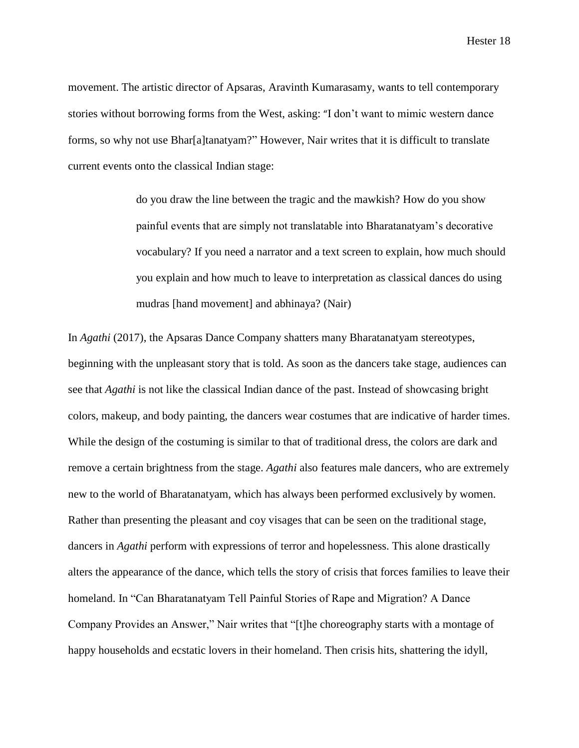movement. The artistic director of Apsaras, Aravinth Kumarasamy, wants to tell contemporary stories without borrowing forms from the West, asking: "I don't want to mimic western dance forms, so why not use Bhar[a]tanatyam?" However, Nair writes that it is difficult to translate current events onto the classical Indian stage:

> do you draw the line between the tragic and the mawkish? How do you show painful events that are simply not translatable into Bharatanatyam's decorative vocabulary? If you need a narrator and a text screen to explain, how much should you explain and how much to leave to interpretation as classical dances do using mudras [hand movement] and abhinaya? (Nair)

In *Agathi* (2017), the Apsaras Dance Company shatters many Bharatanatyam stereotypes, beginning with the unpleasant story that is told. As soon as the dancers take stage, audiences can see that *Agathi* is not like the classical Indian dance of the past. Instead of showcasing bright colors, makeup, and body painting, the dancers wear costumes that are indicative of harder times. While the design of the costuming is similar to that of traditional dress, the colors are dark and remove a certain brightness from the stage. *Agathi* also features male dancers, who are extremely new to the world of Bharatanatyam, which has always been performed exclusively by women. Rather than presenting the pleasant and coy visages that can be seen on the traditional stage, dancers in *Agathi* perform with expressions of terror and hopelessness. This alone drastically alters the appearance of the dance, which tells the story of crisis that forces families to leave their homeland. In "Can Bharatanatyam Tell Painful Stories of Rape and Migration? A Dance Company Provides an Answer," Nair writes that "[t]he choreography starts with a montage of happy households and ecstatic lovers in their homeland. Then crisis hits, shattering the idyll,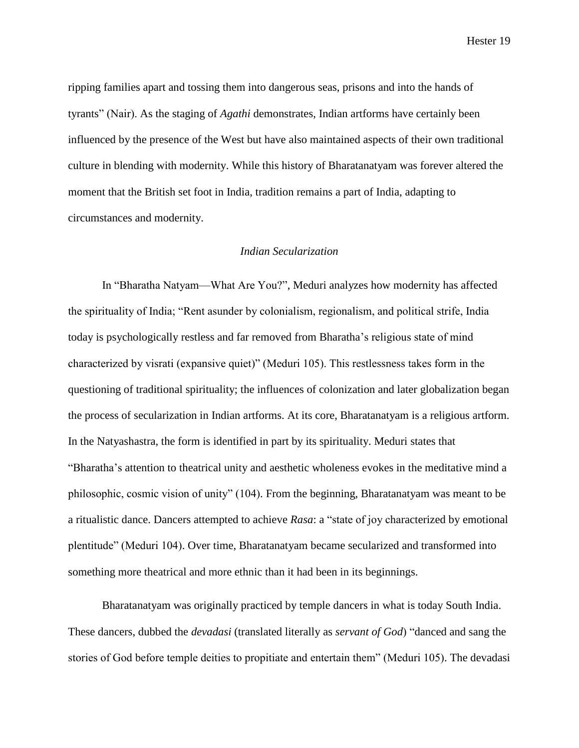ripping families apart and tossing them into dangerous seas, prisons and into the hands of tyrants" (Nair). As the staging of *Agathi* demonstrates, Indian artforms have certainly been influenced by the presence of the West but have also maintained aspects of their own traditional culture in blending with modernity. While this history of Bharatanatyam was forever altered the moment that the British set foot in India, tradition remains a part of India, adapting to circumstances and modernity.

# *Indian Secularization*

In "Bharatha Natyam—What Are You?", Meduri analyzes how modernity has affected the spirituality of India; "Rent asunder by colonialism, regionalism, and political strife, India today is psychologically restless and far removed from Bharatha's religious state of mind characterized by visrati (expansive quiet)" (Meduri 105). This restlessness takes form in the questioning of traditional spirituality; the influences of colonization and later globalization began the process of secularization in Indian artforms. At its core, Bharatanatyam is a religious artform. In the Natyashastra, the form is identified in part by its spirituality. Meduri states that "Bharatha's attention to theatrical unity and aesthetic wholeness evokes in the meditative mind a philosophic, cosmic vision of unity" (104). From the beginning, Bharatanatyam was meant to be a ritualistic dance. Dancers attempted to achieve *Rasa*: a "state of joy characterized by emotional plentitude" (Meduri 104). Over time, Bharatanatyam became secularized and transformed into something more theatrical and more ethnic than it had been in its beginnings.

Bharatanatyam was originally practiced by temple dancers in what is today South India. These dancers, dubbed the *devadasi* (translated literally as *servant of God*) "danced and sang the stories of God before temple deities to propitiate and entertain them" (Meduri 105). The devadasi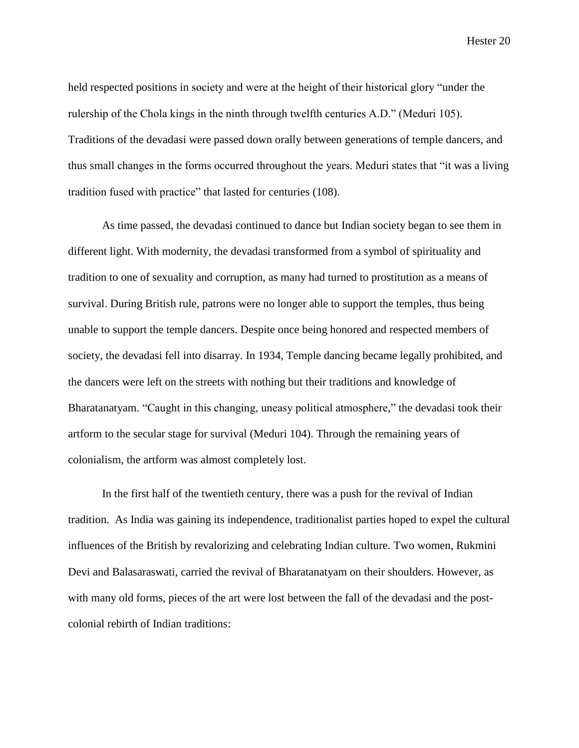held respected positions in society and were at the height of their historical glory "under the rulership of the Chola kings in the ninth through twelfth centuries A.D." (Meduri 105). Traditions of the devadasi were passed down orally between generations of temple dancers, and thus small changes in the forms occurred throughout the years. Meduri states that "it was a living tradition fused with practice" that lasted for centuries (108).

As time passed, the devadasi continued to dance but Indian society began to see them in different light. With modernity, the devadasi transformed from a symbol of spirituality and tradition to one of sexuality and corruption, as many had turned to prostitution as a means of survival. During British rule, patrons were no longer able to support the temples, thus being unable to support the temple dancers. Despite once being honored and respected members of society, the devadasi fell into disarray. In 1934, Temple dancing became legally prohibited, and the dancers were left on the streets with nothing but their traditions and knowledge of Bharatanatyam. "Caught in this changing, uneasy political atmosphere," the devadasi took their artform to the secular stage for survival (Meduri 104). Through the remaining years of colonialism, the artform was almost completely lost.

In the first half of the twentieth century, there was a push for the revival of Indian tradition. As India was gaining its independence, traditionalist parties hoped to expel the cultural influences of the British by revalorizing and celebrating Indian culture. Two women, Rukmini Devi and Balasaraswati, carried the revival of Bharatanatyam on their shoulders. However, as with many old forms, pieces of the art were lost between the fall of the devadasi and the postcolonial rebirth of Indian traditions: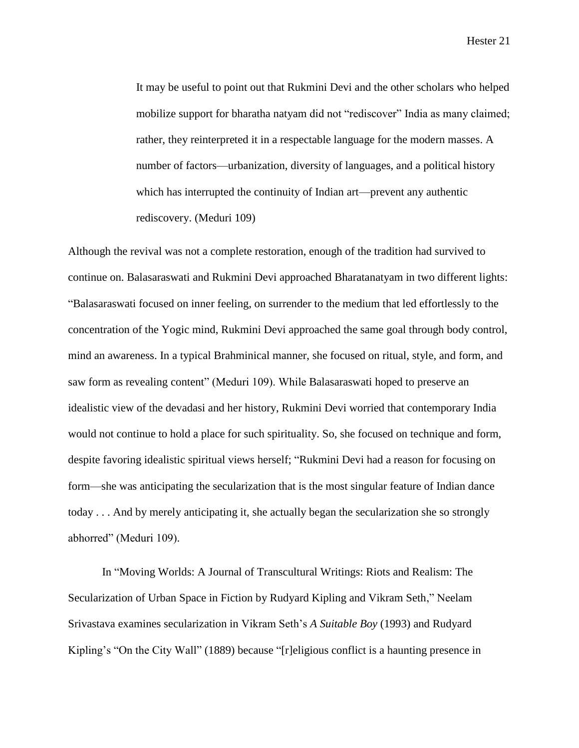It may be useful to point out that Rukmini Devi and the other scholars who helped mobilize support for bharatha natyam did not "rediscover" India as many claimed; rather, they reinterpreted it in a respectable language for the modern masses. A number of factors—urbanization, diversity of languages, and a political history which has interrupted the continuity of Indian art—prevent any authentic rediscovery. (Meduri 109)

Although the revival was not a complete restoration, enough of the tradition had survived to continue on. Balasaraswati and Rukmini Devi approached Bharatanatyam in two different lights: "Balasaraswati focused on inner feeling, on surrender to the medium that led effortlessly to the concentration of the Yogic mind, Rukmini Devi approached the same goal through body control, mind an awareness. In a typical Brahminical manner, she focused on ritual, style, and form, and saw form as revealing content" (Meduri 109). While Balasaraswati hoped to preserve an idealistic view of the devadasi and her history, Rukmini Devi worried that contemporary India would not continue to hold a place for such spirituality. So, she focused on technique and form, despite favoring idealistic spiritual views herself; "Rukmini Devi had a reason for focusing on form—she was anticipating the secularization that is the most singular feature of Indian dance today . . . And by merely anticipating it, she actually began the secularization she so strongly abhorred" (Meduri 109).

In "Moving Worlds: A Journal of Transcultural Writings: Riots and Realism: The Secularization of Urban Space in Fiction by Rudyard Kipling and Vikram Seth," Neelam Srivastava examines secularization in Vikram Seth's *A Suitable Boy* (1993) and Rudyard Kipling's "On the City Wall" (1889) because "[r]eligious conflict is a haunting presence in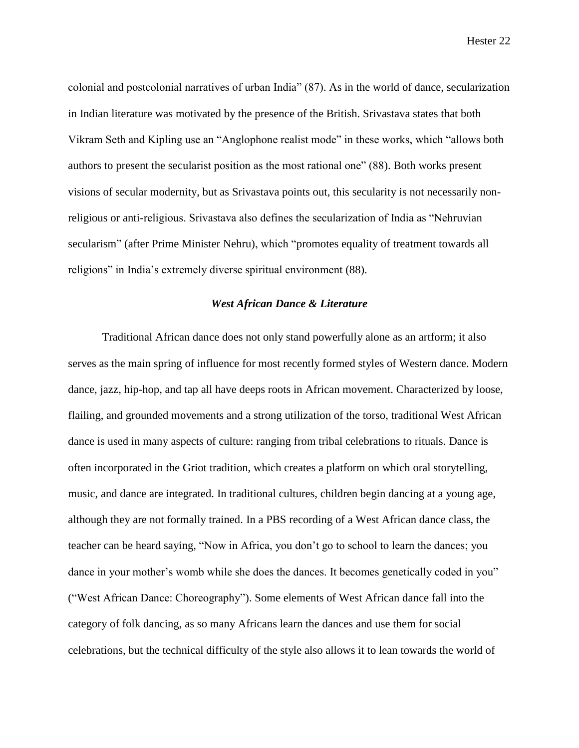colonial and postcolonial narratives of urban India" (87). As in the world of dance, secularization in Indian literature was motivated by the presence of the British. Srivastava states that both Vikram Seth and Kipling use an "Anglophone realist mode" in these works, which "allows both authors to present the secularist position as the most rational one" (88). Both works present visions of secular modernity, but as Srivastava points out, this secularity is not necessarily nonreligious or anti-religious. Srivastava also defines the secularization of India as "Nehruvian secularism" (after Prime Minister Nehru), which "promotes equality of treatment towards all religions" in India's extremely diverse spiritual environment (88).

# *West African Dance & Literature*

Traditional African dance does not only stand powerfully alone as an artform; it also serves as the main spring of influence for most recently formed styles of Western dance. Modern dance, jazz, hip-hop, and tap all have deeps roots in African movement. Characterized by loose, flailing, and grounded movements and a strong utilization of the torso, traditional West African dance is used in many aspects of culture: ranging from tribal celebrations to rituals. Dance is often incorporated in the Griot tradition, which creates a platform on which oral storytelling, music, and dance are integrated. In traditional cultures, children begin dancing at a young age, although they are not formally trained. In a PBS recording of a West African dance class, the teacher can be heard saying, "Now in Africa, you don't go to school to learn the dances; you dance in your mother's womb while she does the dances. It becomes genetically coded in you" ("West African Dance: Choreography"). Some elements of West African dance fall into the category of folk dancing, as so many Africans learn the dances and use them for social celebrations, but the technical difficulty of the style also allows it to lean towards the world of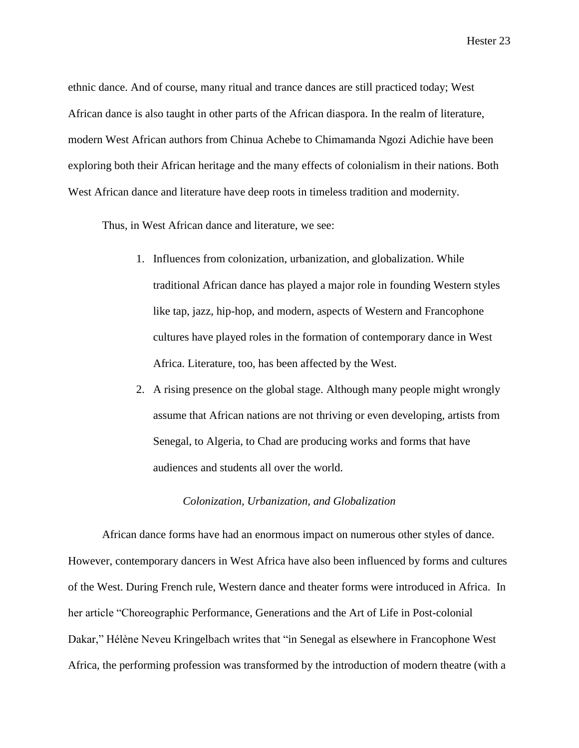ethnic dance. And of course, many ritual and trance dances are still practiced today; West African dance is also taught in other parts of the African diaspora. In the realm of literature, modern West African authors from Chinua Achebe to Chimamanda Ngozi Adichie have been exploring both their African heritage and the many effects of colonialism in their nations. Both West African dance and literature have deep roots in timeless tradition and modernity.

Thus, in West African dance and literature, we see:

- 1. Influences from colonization, urbanization, and globalization. While traditional African dance has played a major role in founding Western styles like tap, jazz, hip-hop, and modern, aspects of Western and Francophone cultures have played roles in the formation of contemporary dance in West Africa. Literature, too, has been affected by the West.
- 2. A rising presence on the global stage. Although many people might wrongly assume that African nations are not thriving or even developing, artists from Senegal, to Algeria, to Chad are producing works and forms that have audiences and students all over the world.

#### *Colonization, Urbanization, and Globalization*

African dance forms have had an enormous impact on numerous other styles of dance. However, contemporary dancers in West Africa have also been influenced by forms and cultures of the West. During French rule, Western dance and theater forms were introduced in Africa. In her article "Choreographic Performance, Generations and the Art of Life in Post-colonial Dakar," Hélène Neveu Kringelbach writes that "in Senegal as elsewhere in Francophone West Africa, the performing profession was transformed by the introduction of modern theatre (with a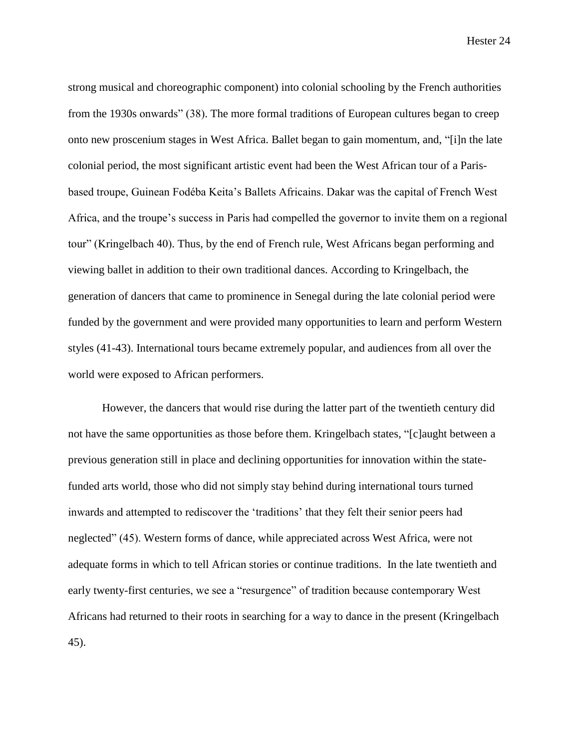strong musical and choreographic component) into colonial schooling by the French authorities from the 1930s onwards" (38). The more formal traditions of European cultures began to creep onto new proscenium stages in West Africa. Ballet began to gain momentum, and, "[i]n the late colonial period, the most significant artistic event had been the West African tour of a Parisbased troupe, Guinean Fodéba Keita's Ballets Africains. Dakar was the capital of French West Africa, and the troupe's success in Paris had compelled the governor to invite them on a regional tour" (Kringelbach 40). Thus, by the end of French rule, West Africans began performing and viewing ballet in addition to their own traditional dances. According to Kringelbach, the generation of dancers that came to prominence in Senegal during the late colonial period were funded by the government and were provided many opportunities to learn and perform Western styles (41-43). International tours became extremely popular, and audiences from all over the world were exposed to African performers.

However, the dancers that would rise during the latter part of the twentieth century did not have the same opportunities as those before them. Kringelbach states, "[c]aught between a previous generation still in place and declining opportunities for innovation within the statefunded arts world, those who did not simply stay behind during international tours turned inwards and attempted to rediscover the 'traditions' that they felt their senior peers had neglected" (45). Western forms of dance, while appreciated across West Africa, were not adequate forms in which to tell African stories or continue traditions. In the late twentieth and early twenty-first centuries, we see a "resurgence" of tradition because contemporary West Africans had returned to their roots in searching for a way to dance in the present (Kringelbach 45).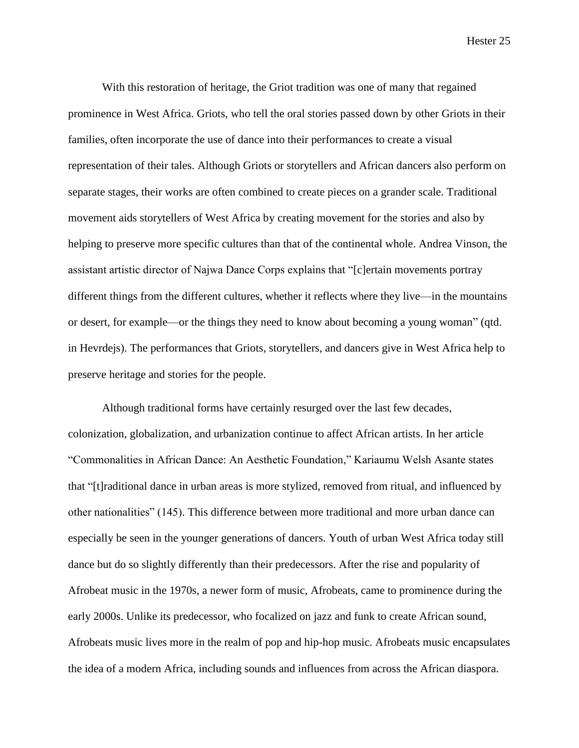With this restoration of heritage, the Griot tradition was one of many that regained prominence in West Africa. Griots, who tell the oral stories passed down by other Griots in their families, often incorporate the use of dance into their performances to create a visual representation of their tales. Although Griots or storytellers and African dancers also perform on separate stages, their works are often combined to create pieces on a grander scale. Traditional movement aids storytellers of West Africa by creating movement for the stories and also by helping to preserve more specific cultures than that of the continental whole. Andrea Vinson, the assistant artistic director of Najwa Dance Corps explains that "[c]ertain movements portray different things from the different cultures, whether it reflects where they live—in the mountains or desert, for example—or the things they need to know about becoming a young woman" (qtd. in Hevrdejs). The performances that Griots, storytellers, and dancers give in West Africa help to preserve heritage and stories for the people.

Although traditional forms have certainly resurged over the last few decades, colonization, globalization, and urbanization continue to affect African artists. In her article "Commonalities in African Dance: An Aesthetic Foundation," Kariaumu Welsh Asante states that "[t]raditional dance in urban areas is more stylized, removed from ritual, and influenced by other nationalities" (145). This difference between more traditional and more urban dance can especially be seen in the younger generations of dancers. Youth of urban West Africa today still dance but do so slightly differently than their predecessors. After the rise and popularity of Afrobeat music in the 1970s, a newer form of music, Afrobeats, came to prominence during the early 2000s. Unlike its predecessor, who focalized on jazz and funk to create African sound, Afrobeats music lives more in the realm of pop and hip-hop music. Afrobeats music encapsulates the idea of a modern Africa, including sounds and influences from across the African diaspora.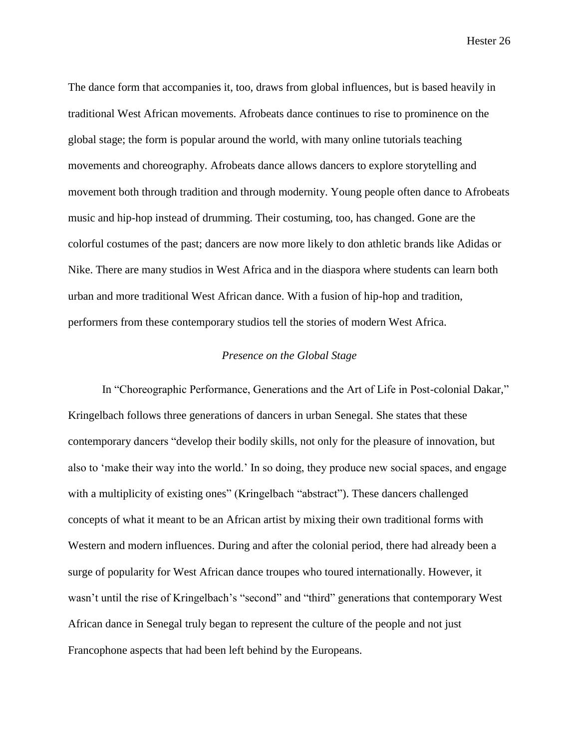The dance form that accompanies it, too, draws from global influences, but is based heavily in traditional West African movements. Afrobeats dance continues to rise to prominence on the global stage; the form is popular around the world, with many online tutorials teaching movements and choreography. Afrobeats dance allows dancers to explore storytelling and movement both through tradition and through modernity. Young people often dance to Afrobeats music and hip-hop instead of drumming. Their costuming, too, has changed. Gone are the colorful costumes of the past; dancers are now more likely to don athletic brands like Adidas or Nike. There are many studios in West Africa and in the diaspora where students can learn both urban and more traditional West African dance. With a fusion of hip-hop and tradition, performers from these contemporary studios tell the stories of modern West Africa.

# *Presence on the Global Stage*

In "Choreographic Performance, Generations and the Art of Life in Post-colonial Dakar," Kringelbach follows three generations of dancers in urban Senegal. She states that these contemporary dancers "develop their bodily skills, not only for the pleasure of innovation, but also to 'make their way into the world.' In so doing, they produce new social spaces, and engage with a multiplicity of existing ones" (Kringelbach "abstract"). These dancers challenged concepts of what it meant to be an African artist by mixing their own traditional forms with Western and modern influences. During and after the colonial period, there had already been a surge of popularity for West African dance troupes who toured internationally. However, it wasn't until the rise of Kringelbach's "second" and "third" generations that contemporary West African dance in Senegal truly began to represent the culture of the people and not just Francophone aspects that had been left behind by the Europeans.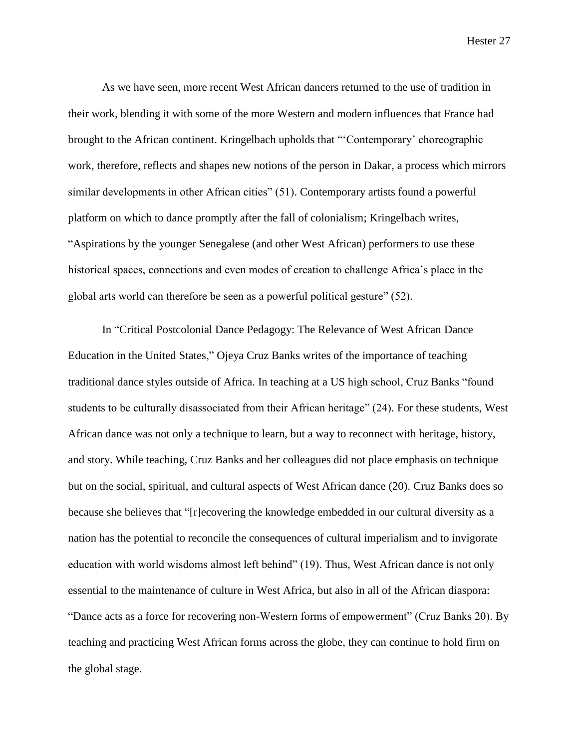As we have seen, more recent West African dancers returned to the use of tradition in their work, blending it with some of the more Western and modern influences that France had brought to the African continent. Kringelbach upholds that "'Contemporary' choreographic work, therefore, reflects and shapes new notions of the person in Dakar, a process which mirrors similar developments in other African cities" (51). Contemporary artists found a powerful platform on which to dance promptly after the fall of colonialism; Kringelbach writes, "Aspirations by the younger Senegalese (and other West African) performers to use these historical spaces, connections and even modes of creation to challenge Africa's place in the global arts world can therefore be seen as a powerful political gesture" (52).

In "Critical Postcolonial Dance Pedagogy: The Relevance of West African Dance Education in the United States," Ojeya Cruz Banks writes of the importance of teaching traditional dance styles outside of Africa. In teaching at a US high school, Cruz Banks "found students to be culturally disassociated from their African heritage" (24). For these students, West African dance was not only a technique to learn, but a way to reconnect with heritage, history, and story. While teaching, Cruz Banks and her colleagues did not place emphasis on technique but on the social, spiritual, and cultural aspects of West African dance (20). Cruz Banks does so because she believes that "[r]ecovering the knowledge embedded in our cultural diversity as a nation has the potential to reconcile the consequences of cultural imperialism and to invigorate education with world wisdoms almost left behind" (19). Thus, West African dance is not only essential to the maintenance of culture in West Africa, but also in all of the African diaspora: "Dance acts as a force for recovering non-Western forms of empowerment" (Cruz Banks 20). By teaching and practicing West African forms across the globe, they can continue to hold firm on the global stage.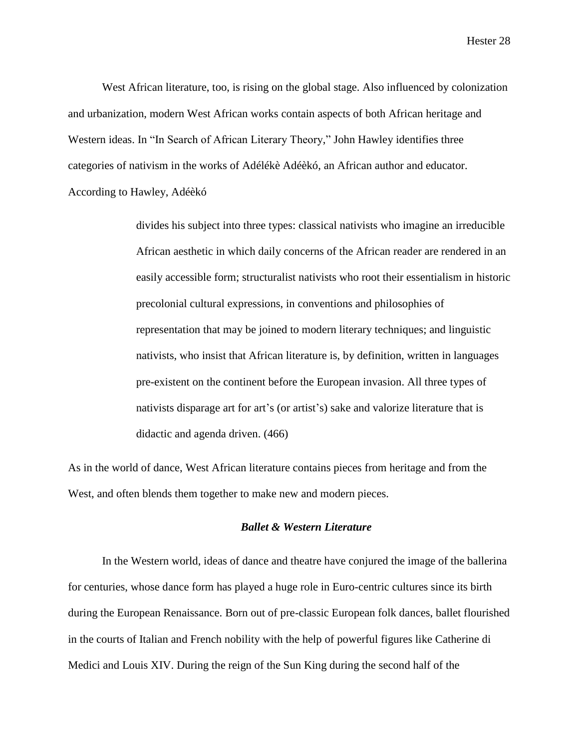West African literature, too, is rising on the global stage. Also influenced by colonization and urbanization, modern West African works contain aspects of both African heritage and Western ideas. In "In Search of African Literary Theory," John Hawley identifies three categories of nativism in the works of Adélékè Adéèkó, an African author and educator. According to Hawley, Adéèkó

> divides his subject into three types: classical nativists who imagine an irreducible African aesthetic in which daily concerns of the African reader are rendered in an easily accessible form; structuralist nativists who root their essentialism in historic precolonial cultural expressions, in conventions and philosophies of representation that may be joined to modern literary techniques; and linguistic nativists, who insist that African literature is, by definition, written in languages pre-existent on the continent before the European invasion. All three types of nativists disparage art for art's (or artist's) sake and valorize literature that is didactic and agenda driven. (466)

As in the world of dance, West African literature contains pieces from heritage and from the West, and often blends them together to make new and modern pieces.

## *Ballet & Western Literature*

In the Western world, ideas of dance and theatre have conjured the image of the ballerina for centuries, whose dance form has played a huge role in Euro-centric cultures since its birth during the European Renaissance. Born out of pre-classic European folk dances, ballet flourished in the courts of Italian and French nobility with the help of powerful figures like Catherine di Medici and Louis XIV. During the reign of the Sun King during the second half of the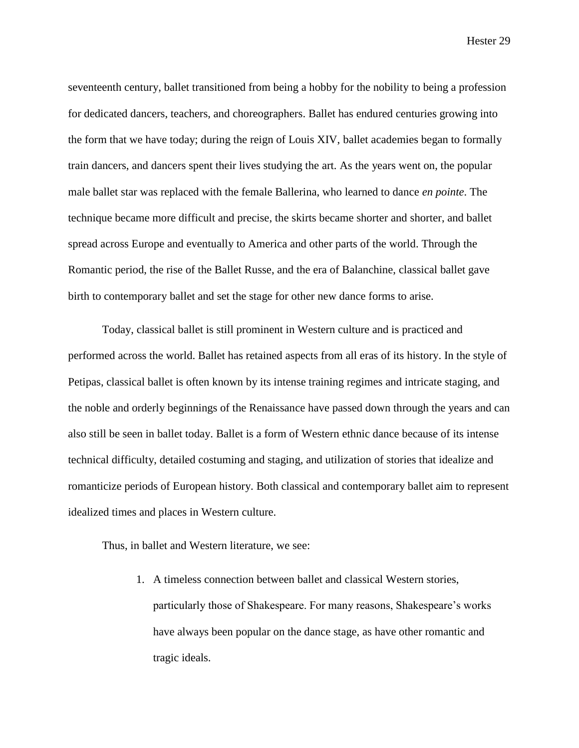seventeenth century, ballet transitioned from being a hobby for the nobility to being a profession for dedicated dancers, teachers, and choreographers. Ballet has endured centuries growing into the form that we have today; during the reign of Louis XIV, ballet academies began to formally train dancers, and dancers spent their lives studying the art. As the years went on, the popular male ballet star was replaced with the female Ballerina, who learned to dance *en pointe*. The technique became more difficult and precise, the skirts became shorter and shorter, and ballet spread across Europe and eventually to America and other parts of the world. Through the Romantic period, the rise of the Ballet Russe, and the era of Balanchine, classical ballet gave birth to contemporary ballet and set the stage for other new dance forms to arise.

Today, classical ballet is still prominent in Western culture and is practiced and performed across the world. Ballet has retained aspects from all eras of its history. In the style of Petipas, classical ballet is often known by its intense training regimes and intricate staging, and the noble and orderly beginnings of the Renaissance have passed down through the years and can also still be seen in ballet today. Ballet is a form of Western ethnic dance because of its intense technical difficulty, detailed costuming and staging, and utilization of stories that idealize and romanticize periods of European history. Both classical and contemporary ballet aim to represent idealized times and places in Western culture.

Thus, in ballet and Western literature, we see:

1. A timeless connection between ballet and classical Western stories, particularly those of Shakespeare. For many reasons, Shakespeare's works have always been popular on the dance stage, as have other romantic and tragic ideals.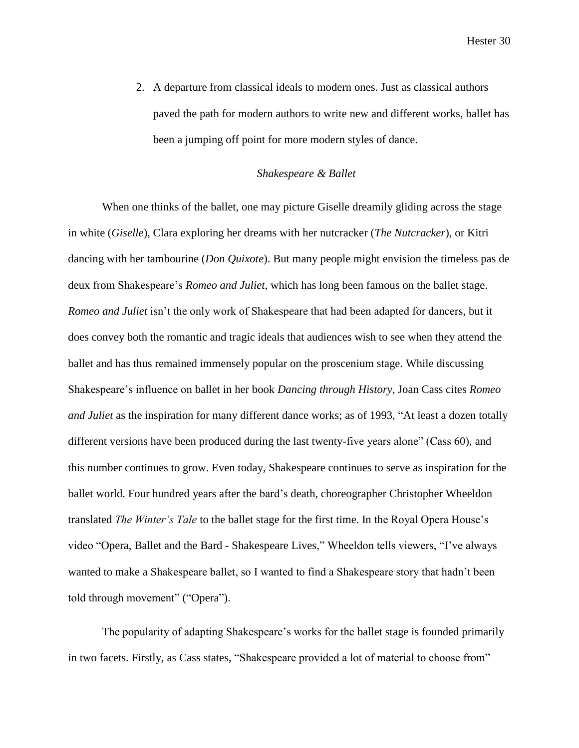2. A departure from classical ideals to modern ones. Just as classical authors paved the path for modern authors to write new and different works, ballet has been a jumping off point for more modern styles of dance.

#### *Shakespeare & Ballet*

When one thinks of the ballet, one may picture Giselle dreamily gliding across the stage in white (*Giselle*), Clara exploring her dreams with her nutcracker (*The Nutcracker*), or Kitri dancing with her tambourine (*Don Quixote*). But many people might envision the timeless pas de deux from Shakespeare's *Romeo and Juliet*, which has long been famous on the ballet stage. *Romeo and Juliet* isn't the only work of Shakespeare that had been adapted for dancers, but it does convey both the romantic and tragic ideals that audiences wish to see when they attend the ballet and has thus remained immensely popular on the proscenium stage. While discussing Shakespeare's influence on ballet in her book *Dancing through History*, Joan Cass cites *Romeo and Juliet* as the inspiration for many different dance works; as of 1993, "At least a dozen totally different versions have been produced during the last twenty-five years alone" (Cass 60), and this number continues to grow. Even today, Shakespeare continues to serve as inspiration for the ballet world. Four hundred years after the bard's death, choreographer Christopher Wheeldon translated *The Winter's Tale* to the ballet stage for the first time. In the Royal Opera House's video "Opera, Ballet and the Bard - Shakespeare Lives," Wheeldon tells viewers, "I've always wanted to make a Shakespeare ballet, so I wanted to find a Shakespeare story that hadn't been told through movement" ("Opera").

The popularity of adapting Shakespeare's works for the ballet stage is founded primarily in two facets. Firstly, as Cass states, "Shakespeare provided a lot of material to choose from"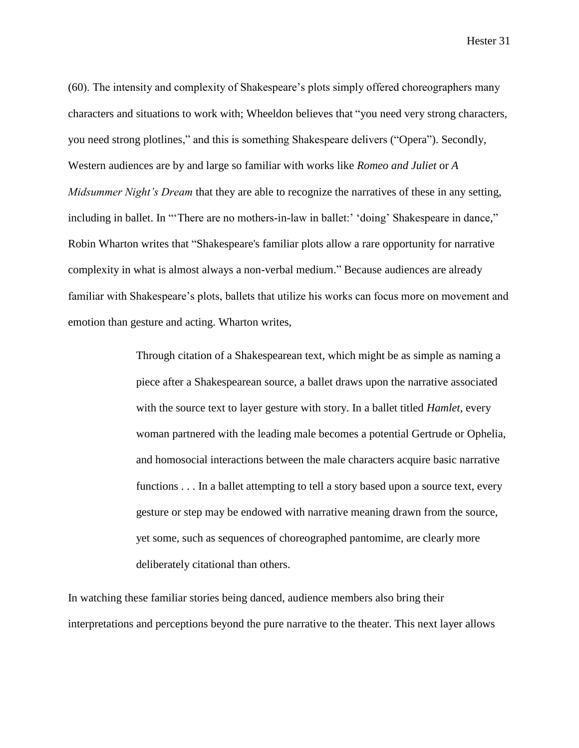(60). The intensity and complexity of Shakespeare's plots simply offered choreographers many characters and situations to work with; Wheeldon believes that "you need very strong characters, you need strong plotlines," and this is something Shakespeare delivers ("Opera"). Secondly, Western audiences are by and large so familiar with works like *Romeo and Juliet* or *A Midsummer Night's Dream* that they are able to recognize the narratives of these in any setting, including in ballet. In "There are no mothers-in-law in ballet:' 'doing' Shakespeare in dance," Robin Wharton writes that "Shakespeare's familiar plots allow a rare opportunity for narrative complexity in what is almost always a non-verbal medium." Because audiences are already familiar with Shakespeare's plots, ballets that utilize his works can focus more on movement and emotion than gesture and acting. Wharton writes,

> Through citation of a Shakespearean text, which might be as simple as naming a piece after a Shakespearean source, a ballet draws upon the narrative associated with the source text to layer gesture with story. In a ballet titled *Hamlet*, every woman partnered with the leading male becomes a potential Gertrude or Ophelia, and homosocial interactions between the male characters acquire basic narrative functions . . . In a ballet attempting to tell a story based upon a source text, every gesture or step may be endowed with narrative meaning drawn from the source, yet some, such as sequences of choreographed pantomime, are clearly more deliberately citational than others.

In watching these familiar stories being danced, audience members also bring their interpretations and perceptions beyond the pure narrative to the theater. This next layer allows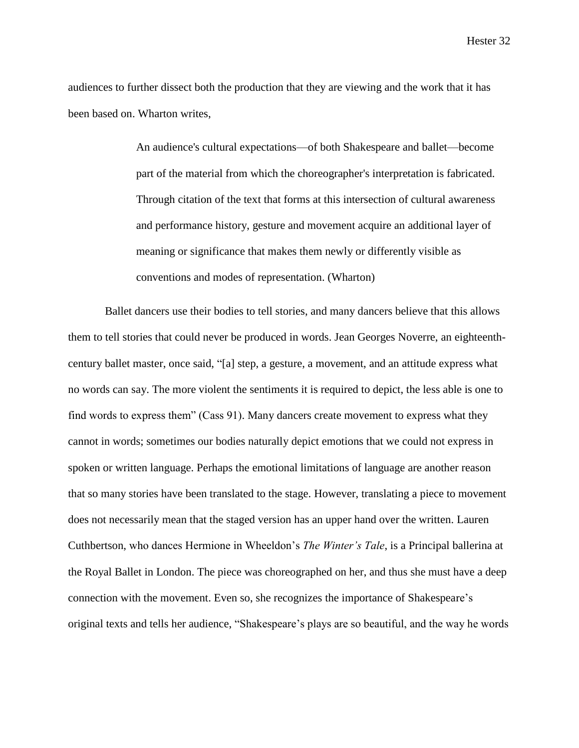audiences to further dissect both the production that they are viewing and the work that it has been based on. Wharton writes,

> An audience's cultural expectations—of both Shakespeare and ballet—become part of the material from which the choreographer's interpretation is fabricated. Through citation of the text that forms at this intersection of cultural awareness and performance history, gesture and movement acquire an additional layer of meaning or significance that makes them newly or differently visible as conventions and modes of representation. (Wharton)

Ballet dancers use their bodies to tell stories, and many dancers believe that this allows them to tell stories that could never be produced in words. Jean Georges Noverre, an eighteenthcentury ballet master, once said, "[a] step, a gesture, a movement, and an attitude express what no words can say. The more violent the sentiments it is required to depict, the less able is one to find words to express them" (Cass 91). Many dancers create movement to express what they cannot in words; sometimes our bodies naturally depict emotions that we could not express in spoken or written language. Perhaps the emotional limitations of language are another reason that so many stories have been translated to the stage. However, translating a piece to movement does not necessarily mean that the staged version has an upper hand over the written. Lauren Cuthbertson, who dances Hermione in Wheeldon's *The Winter's Tale*, is a Principal ballerina at the Royal Ballet in London. The piece was choreographed on her, and thus she must have a deep connection with the movement. Even so, she recognizes the importance of Shakespeare's original texts and tells her audience, "Shakespeare's plays are so beautiful, and the way he words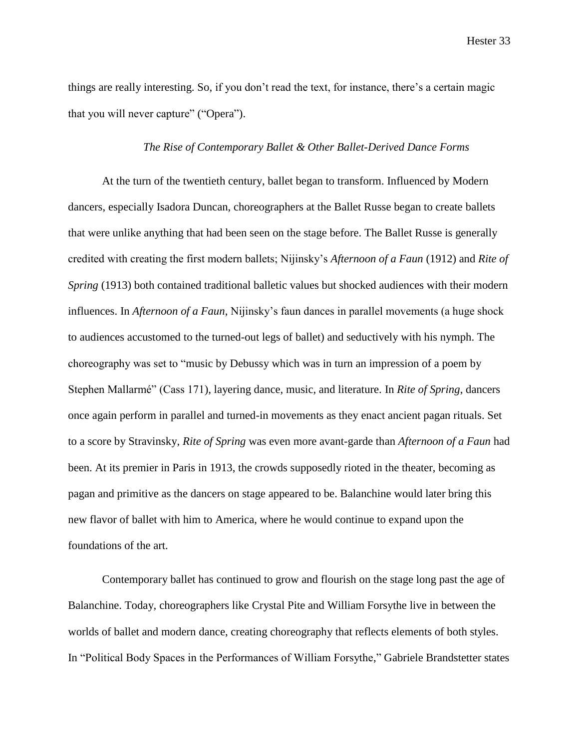things are really interesting. So, if you don't read the text, for instance, there's a certain magic that you will never capture" ("Opera").

# *The Rise of Contemporary Ballet & Other Ballet-Derived Dance Forms*

At the turn of the twentieth century, ballet began to transform. Influenced by Modern dancers, especially Isadora Duncan, choreographers at the Ballet Russe began to create ballets that were unlike anything that had been seen on the stage before. The Ballet Russe is generally credited with creating the first modern ballets; Nijinsky's *Afternoon of a Faun* (1912) and *Rite of Spring* (1913) both contained traditional balletic values but shocked audiences with their modern influences. In *Afternoon of a Faun*, Nijinsky's faun dances in parallel movements (a huge shock to audiences accustomed to the turned-out legs of ballet) and seductively with his nymph. The choreography was set to "music by Debussy which was in turn an impression of a poem by Stephen Mallarmé" (Cass 171), layering dance, music, and literature. In *Rite of Spring*, dancers once again perform in parallel and turned-in movements as they enact ancient pagan rituals. Set to a score by Stravinsky, *Rite of Spring* was even more avant-garde than *Afternoon of a Faun* had been. At its premier in Paris in 1913, the crowds supposedly rioted in the theater, becoming as pagan and primitive as the dancers on stage appeared to be. Balanchine would later bring this new flavor of ballet with him to America, where he would continue to expand upon the foundations of the art.

Contemporary ballet has continued to grow and flourish on the stage long past the age of Balanchine. Today, choreographers like Crystal Pite and William Forsythe live in between the worlds of ballet and modern dance, creating choreography that reflects elements of both styles. In "Political Body Spaces in the Performances of William Forsythe," Gabriele Brandstetter states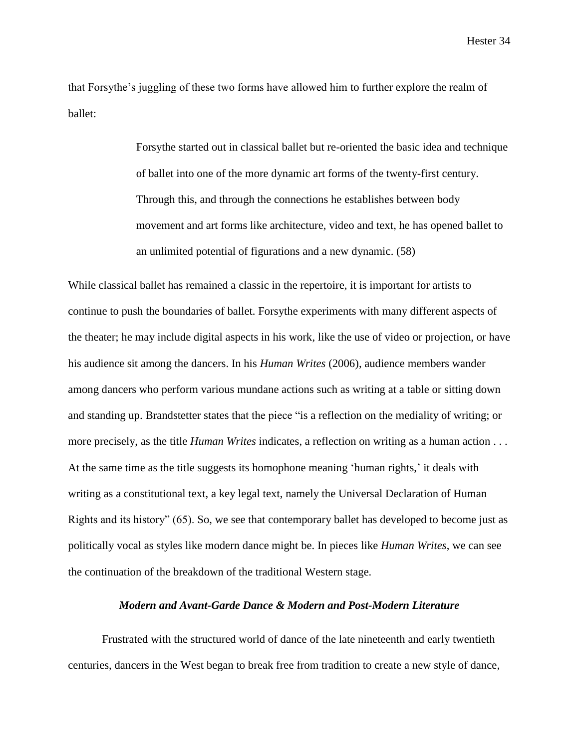that Forsythe's juggling of these two forms have allowed him to further explore the realm of ballet:

> Forsythe started out in classical ballet but re-oriented the basic idea and technique of ballet into one of the more dynamic art forms of the twenty-first century. Through this, and through the connections he establishes between body movement and art forms like architecture, video and text, he has opened ballet to an unlimited potential of figurations and a new dynamic. (58)

While classical ballet has remained a classic in the repertoire, it is important for artists to continue to push the boundaries of ballet. Forsythe experiments with many different aspects of the theater; he may include digital aspects in his work, like the use of video or projection, or have his audience sit among the dancers. In his *Human Writes* (2006), audience members wander among dancers who perform various mundane actions such as writing at a table or sitting down and standing up. Brandstetter states that the piece "is a reflection on the mediality of writing; or more precisely, as the title *Human Writes* indicates, a reflection on writing as a human action . . . At the same time as the title suggests its homophone meaning 'human rights,' it deals with writing as a constitutional text, a key legal text, namely the Universal Declaration of Human Rights and its history" (65). So, we see that contemporary ballet has developed to become just as politically vocal as styles like modern dance might be. In pieces like *Human Writes*, we can see the continuation of the breakdown of the traditional Western stage.

# *Modern and Avant-Garde Dance & Modern and Post-Modern Literature*

Frustrated with the structured world of dance of the late nineteenth and early twentieth centuries, dancers in the West began to break free from tradition to create a new style of dance,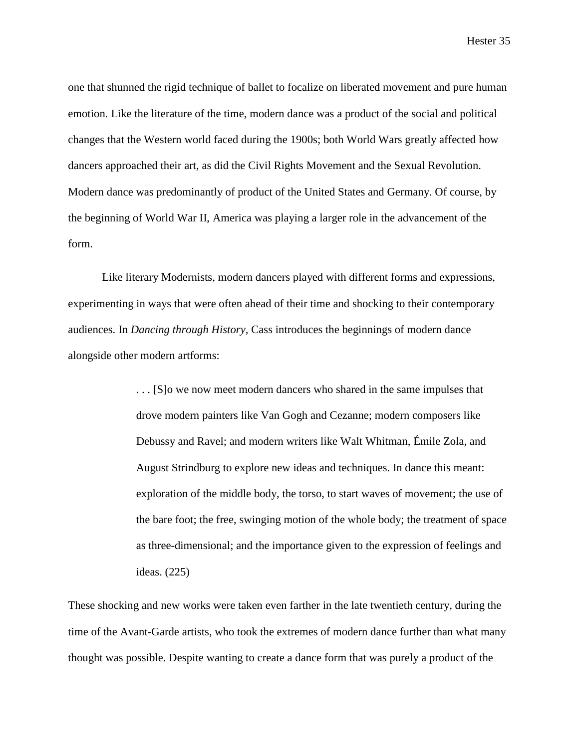one that shunned the rigid technique of ballet to focalize on liberated movement and pure human emotion. Like the literature of the time, modern dance was a product of the social and political changes that the Western world faced during the 1900s; both World Wars greatly affected how dancers approached their art, as did the Civil Rights Movement and the Sexual Revolution. Modern dance was predominantly of product of the United States and Germany. Of course, by the beginning of World War II, America was playing a larger role in the advancement of the form.

Like literary Modernists, modern dancers played with different forms and expressions, experimenting in ways that were often ahead of their time and shocking to their contemporary audiences. In *Dancing through History*, Cass introduces the beginnings of modern dance alongside other modern artforms:

> . . . [S]o we now meet modern dancers who shared in the same impulses that drove modern painters like Van Gogh and Cezanne; modern composers like Debussy and Ravel; and modern writers like Walt Whitman, Émile Zola, and August Strindburg to explore new ideas and techniques. In dance this meant: exploration of the middle body, the torso, to start waves of movement; the use of the bare foot; the free, swinging motion of the whole body; the treatment of space as three-dimensional; and the importance given to the expression of feelings and ideas. (225)

These shocking and new works were taken even farther in the late twentieth century, during the time of the Avant-Garde artists, who took the extremes of modern dance further than what many thought was possible. Despite wanting to create a dance form that was purely a product of the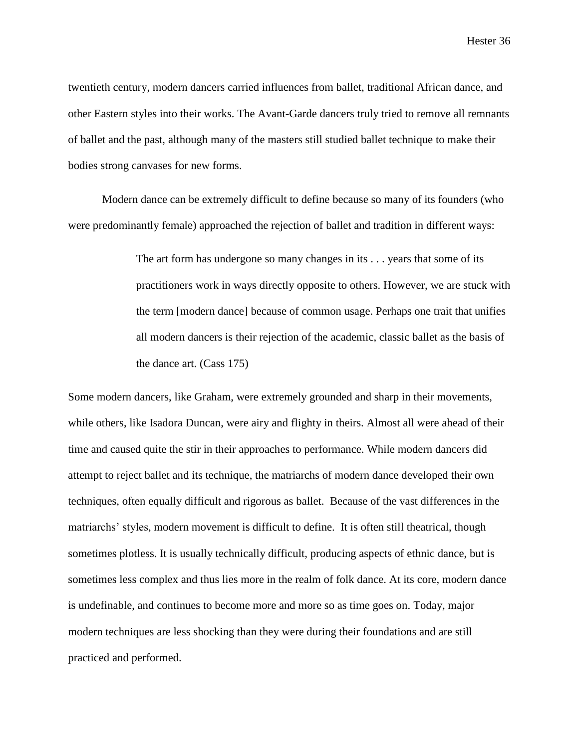twentieth century, modern dancers carried influences from ballet, traditional African dance, and other Eastern styles into their works. The Avant-Garde dancers truly tried to remove all remnants of ballet and the past, although many of the masters still studied ballet technique to make their bodies strong canvases for new forms.

Modern dance can be extremely difficult to define because so many of its founders (who were predominantly female) approached the rejection of ballet and tradition in different ways:

> The art form has undergone so many changes in its . . . years that some of its practitioners work in ways directly opposite to others. However, we are stuck with the term [modern dance] because of common usage. Perhaps one trait that unifies all modern dancers is their rejection of the academic, classic ballet as the basis of the dance art. (Cass 175)

Some modern dancers, like Graham, were extremely grounded and sharp in their movements, while others, like Isadora Duncan, were airy and flighty in theirs. Almost all were ahead of their time and caused quite the stir in their approaches to performance. While modern dancers did attempt to reject ballet and its technique, the matriarchs of modern dance developed their own techniques, often equally difficult and rigorous as ballet. Because of the vast differences in the matriarchs' styles, modern movement is difficult to define. It is often still theatrical, though sometimes plotless. It is usually technically difficult, producing aspects of ethnic dance, but is sometimes less complex and thus lies more in the realm of folk dance. At its core, modern dance is undefinable, and continues to become more and more so as time goes on. Today, major modern techniques are less shocking than they were during their foundations and are still practiced and performed.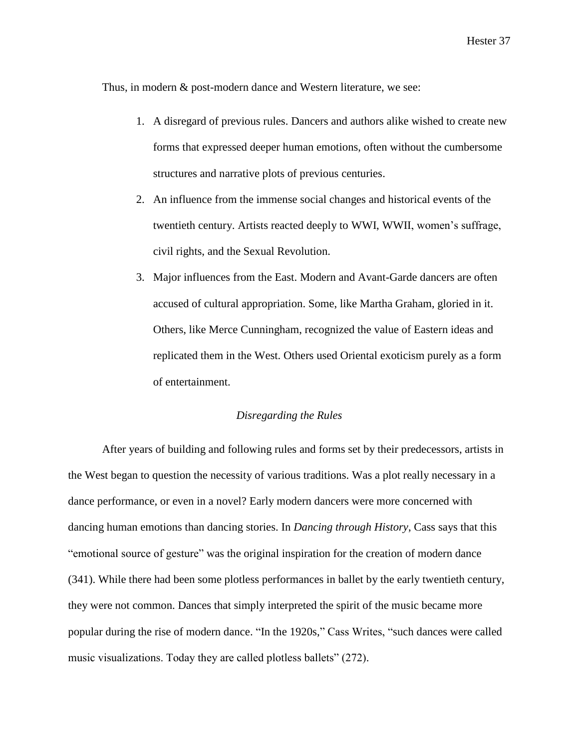Thus, in modern & post-modern dance and Western literature, we see:

- 1. A disregard of previous rules. Dancers and authors alike wished to create new forms that expressed deeper human emotions, often without the cumbersome structures and narrative plots of previous centuries.
- 2. An influence from the immense social changes and historical events of the twentieth century. Artists reacted deeply to WWI, WWII, women's suffrage, civil rights, and the Sexual Revolution.
- 3. Major influences from the East. Modern and Avant-Garde dancers are often accused of cultural appropriation. Some, like Martha Graham, gloried in it. Others, like Merce Cunningham, recognized the value of Eastern ideas and replicated them in the West. Others used Oriental exoticism purely as a form of entertainment.

# *Disregarding the Rules*

After years of building and following rules and forms set by their predecessors, artists in the West began to question the necessity of various traditions. Was a plot really necessary in a dance performance, or even in a novel? Early modern dancers were more concerned with dancing human emotions than dancing stories. In *Dancing through History*, Cass says that this "emotional source of gesture" was the original inspiration for the creation of modern dance (341). While there had been some plotless performances in ballet by the early twentieth century, they were not common. Dances that simply interpreted the spirit of the music became more popular during the rise of modern dance. "In the 1920s," Cass Writes, "such dances were called music visualizations. Today they are called plotless ballets" (272).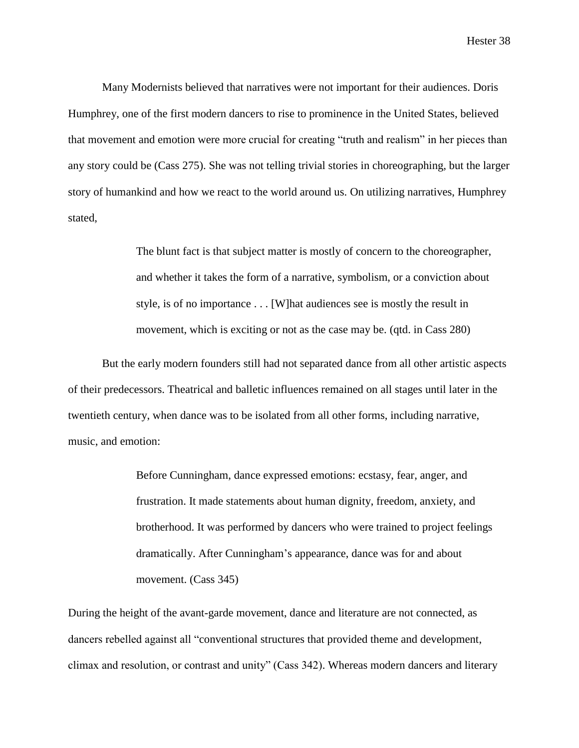Many Modernists believed that narratives were not important for their audiences. Doris Humphrey, one of the first modern dancers to rise to prominence in the United States, believed that movement and emotion were more crucial for creating "truth and realism" in her pieces than any story could be (Cass 275). She was not telling trivial stories in choreographing, but the larger story of humankind and how we react to the world around us. On utilizing narratives, Humphrey stated,

> The blunt fact is that subject matter is mostly of concern to the choreographer, and whether it takes the form of a narrative, symbolism, or a conviction about style, is of no importance . . . [W]hat audiences see is mostly the result in movement, which is exciting or not as the case may be. (qtd. in Cass 280)

But the early modern founders still had not separated dance from all other artistic aspects of their predecessors. Theatrical and balletic influences remained on all stages until later in the twentieth century, when dance was to be isolated from all other forms, including narrative, music, and emotion:

> Before Cunningham, dance expressed emotions: ecstasy, fear, anger, and frustration. It made statements about human dignity, freedom, anxiety, and brotherhood. It was performed by dancers who were trained to project feelings dramatically. After Cunningham's appearance, dance was for and about movement. (Cass 345)

During the height of the avant-garde movement, dance and literature are not connected, as dancers rebelled against all "conventional structures that provided theme and development, climax and resolution, or contrast and unity" (Cass 342). Whereas modern dancers and literary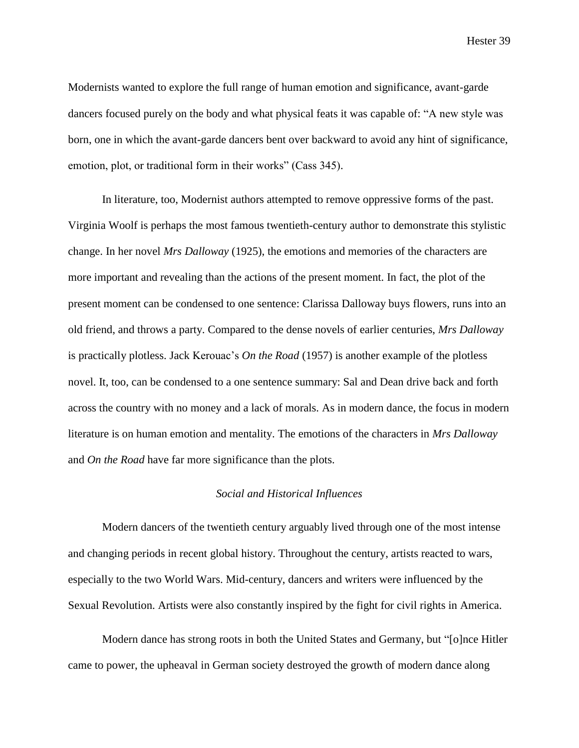Modernists wanted to explore the full range of human emotion and significance, avant-garde dancers focused purely on the body and what physical feats it was capable of: "A new style was born, one in which the avant-garde dancers bent over backward to avoid any hint of significance, emotion, plot, or traditional form in their works" (Cass 345).

In literature, too, Modernist authors attempted to remove oppressive forms of the past. Virginia Woolf is perhaps the most famous twentieth-century author to demonstrate this stylistic change. In her novel *Mrs Dalloway* (1925), the emotions and memories of the characters are more important and revealing than the actions of the present moment. In fact, the plot of the present moment can be condensed to one sentence: Clarissa Dalloway buys flowers, runs into an old friend, and throws a party. Compared to the dense novels of earlier centuries, *Mrs Dalloway* is practically plotless. Jack Kerouac's *On the Road* (1957) is another example of the plotless novel. It, too, can be condensed to a one sentence summary: Sal and Dean drive back and forth across the country with no money and a lack of morals. As in modern dance, the focus in modern literature is on human emotion and mentality. The emotions of the characters in *Mrs Dalloway* and *On the Road* have far more significance than the plots.

#### *Social and Historical Influences*

Modern dancers of the twentieth century arguably lived through one of the most intense and changing periods in recent global history. Throughout the century, artists reacted to wars, especially to the two World Wars. Mid-century, dancers and writers were influenced by the Sexual Revolution. Artists were also constantly inspired by the fight for civil rights in America.

Modern dance has strong roots in both the United States and Germany, but "[o]nce Hitler came to power, the upheaval in German society destroyed the growth of modern dance along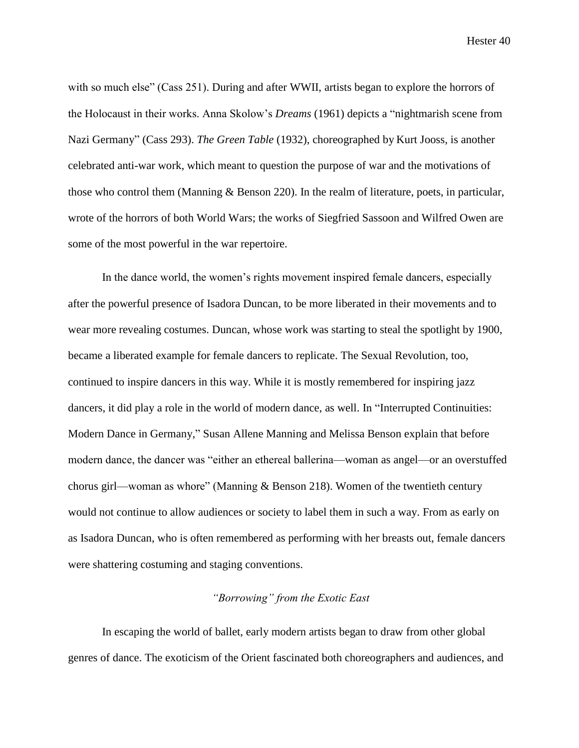with so much else" (Cass 251). During and after WWII, artists began to explore the horrors of the Holocaust in their works. Anna Skolow's *Dreams* (1961) depicts a "nightmarish scene from Nazi Germany" (Cass 293). *The Green Table* (1932), choreographed by Kurt Jooss, is another celebrated anti-war work, which meant to question the purpose of war and the motivations of those who control them (Manning & Benson 220). In the realm of literature, poets, in particular, wrote of the horrors of both World Wars; the works of Siegfried Sassoon and Wilfred Owen are some of the most powerful in the war repertoire.

In the dance world, the women's rights movement inspired female dancers, especially after the powerful presence of Isadora Duncan, to be more liberated in their movements and to wear more revealing costumes. Duncan, whose work was starting to steal the spotlight by 1900, became a liberated example for female dancers to replicate. The Sexual Revolution, too, continued to inspire dancers in this way. While it is mostly remembered for inspiring jazz dancers, it did play a role in the world of modern dance, as well. In "Interrupted Continuities: Modern Dance in Germany," Susan Allene Manning and Melissa Benson explain that before modern dance, the dancer was "either an ethereal ballerina—woman as angel—or an overstuffed chorus girl—woman as whore" (Manning & Benson 218). Women of the twentieth century would not continue to allow audiences or society to label them in such a way. From as early on as Isadora Duncan, who is often remembered as performing with her breasts out, female dancers were shattering costuming and staging conventions.

# *"Borrowing" from the Exotic East*

In escaping the world of ballet, early modern artists began to draw from other global genres of dance. The exoticism of the Orient fascinated both choreographers and audiences, and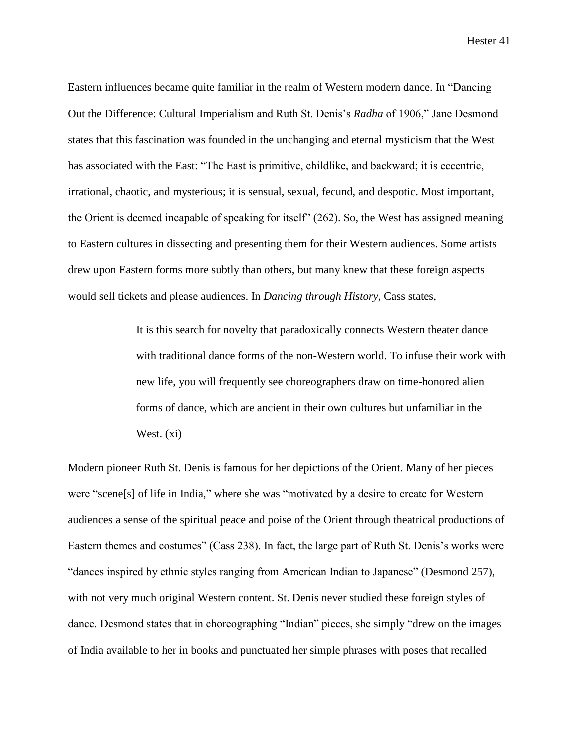Eastern influences became quite familiar in the realm of Western modern dance. In "Dancing Out the Difference: Cultural Imperialism and Ruth St. Denis's *Radha* of 1906," Jane Desmond states that this fascination was founded in the unchanging and eternal mysticism that the West has associated with the East: "The East is primitive, childlike, and backward; it is eccentric, irrational, chaotic, and mysterious; it is sensual, sexual, fecund, and despotic. Most important, the Orient is deemed incapable of speaking for itself" (262). So, the West has assigned meaning to Eastern cultures in dissecting and presenting them for their Western audiences. Some artists drew upon Eastern forms more subtly than others, but many knew that these foreign aspects would sell tickets and please audiences. In *Dancing through History*, Cass states,

> It is this search for novelty that paradoxically connects Western theater dance with traditional dance forms of the non-Western world. To infuse their work with new life, you will frequently see choreographers draw on time-honored alien forms of dance, which are ancient in their own cultures but unfamiliar in the West. (xi)

Modern pioneer Ruth St. Denis is famous for her depictions of the Orient. Many of her pieces were "scene[s] of life in India," where she was "motivated by a desire to create for Western audiences a sense of the spiritual peace and poise of the Orient through theatrical productions of Eastern themes and costumes" (Cass 238). In fact, the large part of Ruth St. Denis's works were "dances inspired by ethnic styles ranging from American Indian to Japanese" (Desmond 257), with not very much original Western content. St. Denis never studied these foreign styles of dance. Desmond states that in choreographing "Indian" pieces, she simply "drew on the images of India available to her in books and punctuated her simple phrases with poses that recalled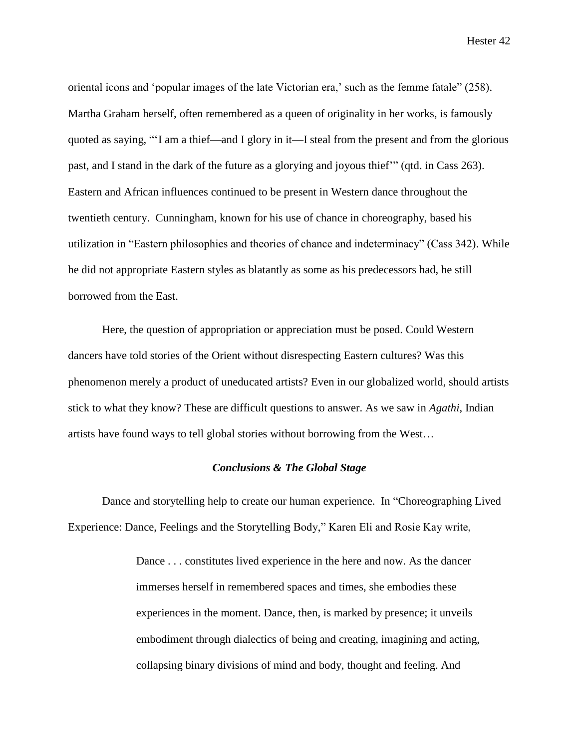oriental icons and 'popular images of the late Victorian era,' such as the femme fatale" (258). Martha Graham herself, often remembered as a queen of originality in her works, is famously quoted as saying, "'I am a thief—and I glory in it—I steal from the present and from the glorious past, and I stand in the dark of the future as a glorying and joyous thief'" (qtd. in Cass 263). Eastern and African influences continued to be present in Western dance throughout the twentieth century. Cunningham, known for his use of chance in choreography, based his utilization in "Eastern philosophies and theories of chance and indeterminacy" (Cass 342). While he did not appropriate Eastern styles as blatantly as some as his predecessors had, he still borrowed from the East.

Here, the question of appropriation or appreciation must be posed. Could Western dancers have told stories of the Orient without disrespecting Eastern cultures? Was this phenomenon merely a product of uneducated artists? Even in our globalized world, should artists stick to what they know? These are difficult questions to answer. As we saw in *Agathi*, Indian artists have found ways to tell global stories without borrowing from the West…

# *Conclusions & The Global Stage*

Dance and storytelling help to create our human experience. In "Choreographing Lived Experience: Dance, Feelings and the Storytelling Body," Karen Eli and Rosie Kay write,

> Dance ... constitutes lived experience in the here and now. As the dancer immerses herself in remembered spaces and times, she embodies these experiences in the moment. Dance, then, is marked by presence; it unveils embodiment through dialectics of being and creating, imagining and acting, collapsing binary divisions of mind and body, thought and feeling. And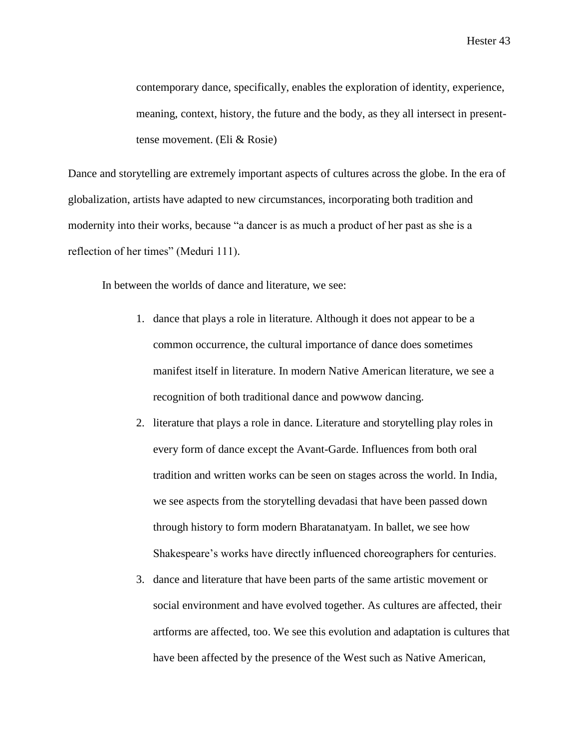contemporary dance, specifically, enables the exploration of identity, experience, meaning, context, history, the future and the body, as they all intersect in presenttense movement. (Eli & Rosie)

Dance and storytelling are extremely important aspects of cultures across the globe. In the era of globalization, artists have adapted to new circumstances, incorporating both tradition and modernity into their works, because "a dancer is as much a product of her past as she is a reflection of her times" (Meduri 111).

In between the worlds of dance and literature, we see:

- 1. dance that plays a role in literature. Although it does not appear to be a common occurrence, the cultural importance of dance does sometimes manifest itself in literature. In modern Native American literature, we see a recognition of both traditional dance and powwow dancing.
- 2. literature that plays a role in dance. Literature and storytelling play roles in every form of dance except the Avant-Garde. Influences from both oral tradition and written works can be seen on stages across the world. In India, we see aspects from the storytelling devadasi that have been passed down through history to form modern Bharatanatyam. In ballet, we see how Shakespeare's works have directly influenced choreographers for centuries.
- 3. dance and literature that have been parts of the same artistic movement or social environment and have evolved together. As cultures are affected, their artforms are affected, too. We see this evolution and adaptation is cultures that have been affected by the presence of the West such as Native American,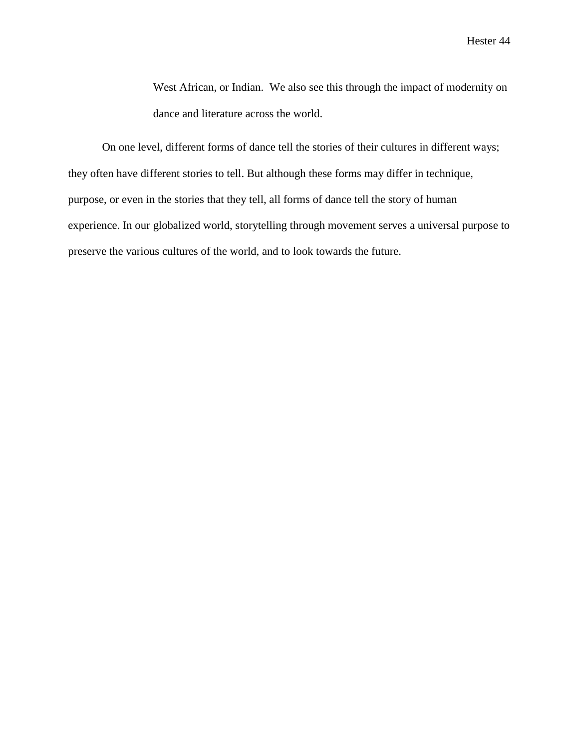West African, or Indian. We also see this through the impact of modernity on dance and literature across the world.

On one level, different forms of dance tell the stories of their cultures in different ways; they often have different stories to tell. But although these forms may differ in technique, purpose, or even in the stories that they tell, all forms of dance tell the story of human experience. In our globalized world, storytelling through movement serves a universal purpose to preserve the various cultures of the world, and to look towards the future.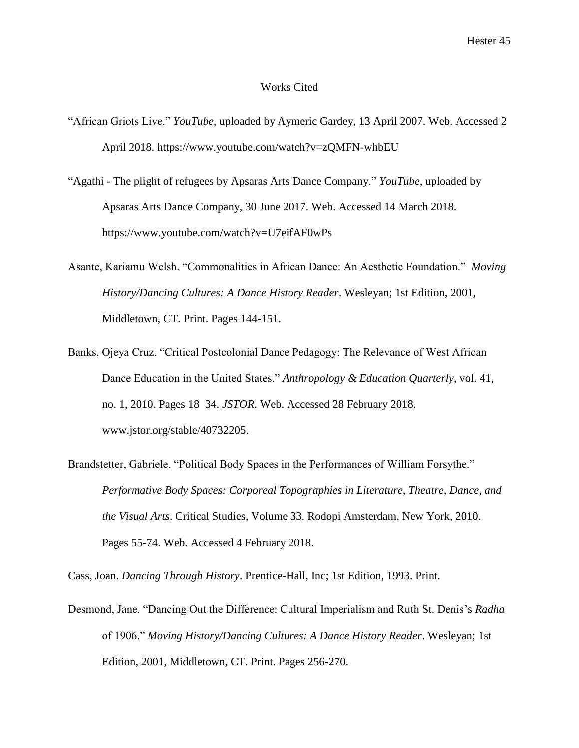#### Works Cited

- "African Griots Live." *YouTube*, uploaded by Aymeric Gardey, 13 April 2007. Web. Accessed 2 April 2018. https://www.youtube.com/watch?v=zQMFN-whbEU
- "Agathi The plight of refugees by Apsaras Arts Dance Company." *YouTube*, uploaded by Apsaras Arts Dance Company, 30 June 2017. Web. Accessed 14 March 2018. https://www.youtube.com/watch?v=U7eifAF0wPs
- Asante, Kariamu Welsh. "Commonalities in African Dance: An Aesthetic Foundation." *Moving History/Dancing Cultures: A Dance History Reader*. Wesleyan; 1st Edition, 2001, Middletown, CT. Print. Pages 144-151.
- Banks, Ojeya Cruz. "Critical Postcolonial Dance Pedagogy: The Relevance of West African Dance Education in the United States." *Anthropology & Education Quarterly*, vol. 41, no. 1, 2010. Pages 18–34. *JSTOR*. Web. Accessed 28 February 2018. www.jstor.org/stable/40732205.
- Brandstetter, Gabriele. "Political Body Spaces in the Performances of William Forsythe." *Performative Body Spaces: Corporeal Topographies in Literature, Theatre, Dance, and the Visual Arts*. Critical Studies, Volume 33. Rodopi Amsterdam, New York, 2010. Pages 55-74. Web. Accessed 4 February 2018.

Cass, Joan. *Dancing Through History*. Prentice-Hall, Inc; 1st Edition, 1993. Print.

Desmond, Jane. "Dancing Out the Difference: Cultural Imperialism and Ruth St. Denis's *Radha*  of 1906." *Moving History/Dancing Cultures: A Dance History Reader*. Wesleyan; 1st Edition, 2001, Middletown, CT. Print. Pages 256-270.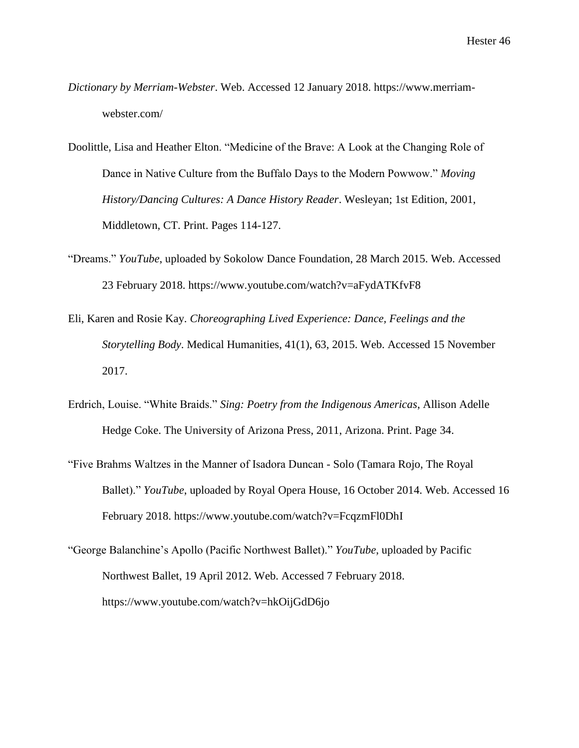- *Dictionary by Merriam-Webster*. Web. Accessed 12 January 2018. https://www.merriamwebster.com/
- Doolittle, Lisa and Heather Elton. "Medicine of the Brave: A Look at the Changing Role of Dance in Native Culture from the Buffalo Days to the Modern Powwow." *Moving History/Dancing Cultures: A Dance History Reader*. Wesleyan; 1st Edition, 2001, Middletown, CT. Print. Pages 114-127.
- "Dreams." *YouTube*, uploaded by Sokolow Dance Foundation, 28 March 2015. Web. Accessed 23 February 2018. https://www.youtube.com/watch?v=aFydATKfvF8
- Eli, Karen and Rosie Kay. *Choreographing Lived Experience: Dance, Feelings and the Storytelling Body*. Medical Humanities, 41(1), 63, 2015. Web. Accessed 15 November 2017.
- Erdrich, Louise. "White Braids." *Sing: Poetry from the Indigenous Americas*, Allison Adelle Hedge Coke. The University of Arizona Press, 2011, Arizona. Print. Page 34.
- "Five Brahms Waltzes in the Manner of Isadora Duncan Solo (Tamara Rojo, The Royal Ballet)." *YouTube*, uploaded by Royal Opera House, 16 October 2014. Web. Accessed 16 February 2018. https://www.youtube.com/watch?v=FcqzmFl0DhI
- "George Balanchine's Apollo (Pacific Northwest Ballet)." *YouTube*, uploaded by Pacific Northwest Ballet, 19 April 2012. Web. Accessed 7 February 2018. https://www.youtube.com/watch?v=hkOijGdD6jo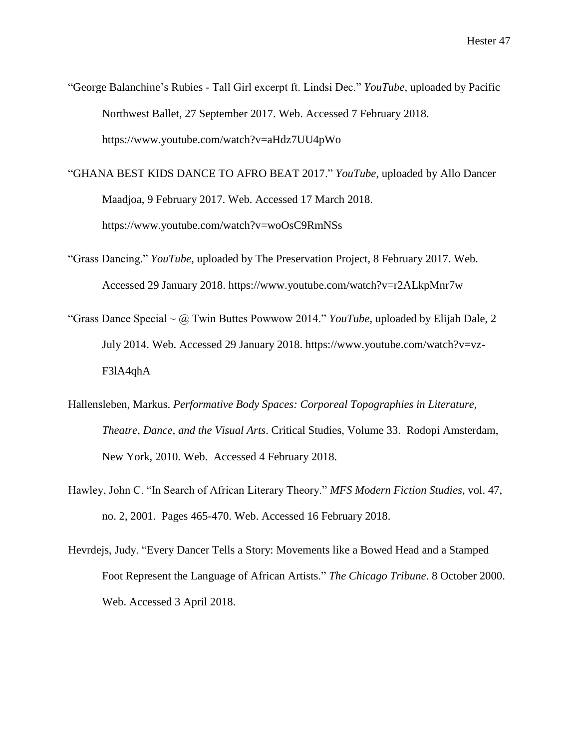- "George Balanchine's Rubies Tall Girl excerpt ft. Lindsi Dec." *YouTube*, uploaded by Pacific Northwest Ballet, 27 September 2017. Web. Accessed 7 February 2018. https://www.youtube.com/watch?v=aHdz7UU4pWo
- "GHANA BEST KIDS DANCE TO AFRO BEAT 2017." *YouTube*, uploaded by Allo Dancer Maadjoa, 9 February 2017. Web. Accessed 17 March 2018. https://www.youtube.com/watch?v=woOsC9RmNSs
- "Grass Dancing." *YouTube*, uploaded by The Preservation Project, 8 February 2017. Web. Accessed 29 January 2018. https://www.youtube.com/watch?v=r2ALkpMnr7w
- "Grass Dance Special ~ @ Twin Buttes Powwow 2014." *YouTube*, uploaded by Elijah Dale, 2 July 2014. Web. Accessed 29 January 2018. https://www.youtube.com/watch?v=vz-F3lA4qhA
- Hallensleben, Markus. *Performative Body Spaces: Corporeal Topographies in Literature, Theatre, Dance, and the Visual Arts*. Critical Studies, Volume 33. Rodopi Amsterdam, New York, 2010. Web. Accessed 4 February 2018.
- Hawley, John C. "In Search of African Literary Theory." *MFS Modern Fiction Studies*, vol. 47, no. 2, 2001. Pages 465-470. Web. Accessed 16 February 2018.
- Hevrdejs, Judy. "Every Dancer Tells a Story: Movements like a Bowed Head and a Stamped Foot Represent the Language of African Artists." *The Chicago Tribune*. 8 October 2000. Web. Accessed 3 April 2018.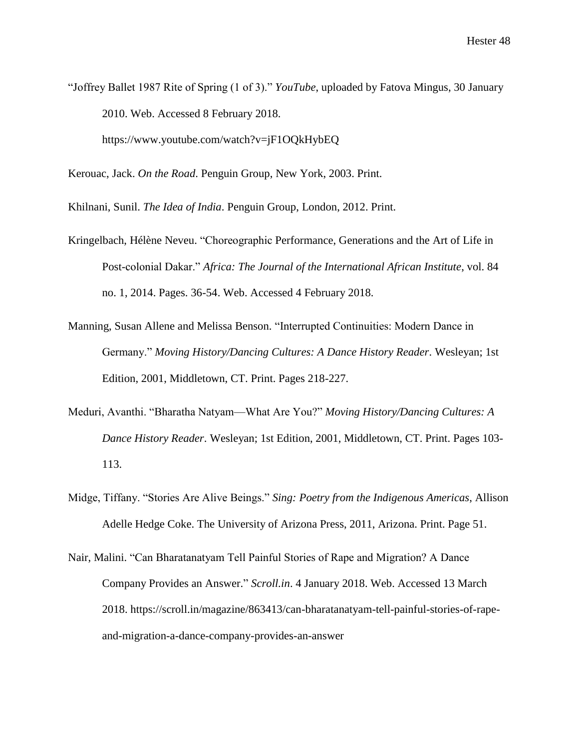"Joffrey Ballet 1987 Rite of Spring (1 of 3)." *YouTube*, uploaded by Fatova Mingus, 30 January 2010. Web. Accessed 8 February 2018. https://www.youtube.com/watch?v=jF1OQkHybEQ

Kerouac, Jack. *On the Road*. Penguin Group, New York, 2003. Print.

Khilnani, Sunil. *The Idea of India*. Penguin Group, London, 2012. Print.

- Kringelbach, Hélène Neveu. "Choreographic Performance, Generations and the Art of Life in Post-colonial Dakar." *Africa: The Journal of the International African Institute*, vol. 84 no. 1, 2014. Pages. 36-54. Web. Accessed 4 February 2018.
- Manning, Susan Allene and Melissa Benson. "Interrupted Continuities: Modern Dance in Germany." *Moving History/Dancing Cultures: A Dance History Reader*. Wesleyan; 1st Edition, 2001, Middletown, CT. Print. Pages 218-227.
- Meduri, Avanthi. "Bharatha Natyam—What Are You?" *Moving History/Dancing Cultures: A Dance History Reader*. Wesleyan; 1st Edition, 2001, Middletown, CT. Print. Pages 103- 113.
- Midge, Tiffany. "Stories Are Alive Beings." *Sing: Poetry from the Indigenous Americas*, Allison Adelle Hedge Coke. The University of Arizona Press, 2011, Arizona. Print. Page 51.
- Nair, Malini. "Can Bharatanatyam Tell Painful Stories of Rape and Migration? A Dance Company Provides an Answer." *Scroll.in*. 4 January 2018. Web. Accessed 13 March 2018. https://scroll.in/magazine/863413/can-bharatanatyam-tell-painful-stories-of-rapeand-migration-a-dance-company-provides-an-answer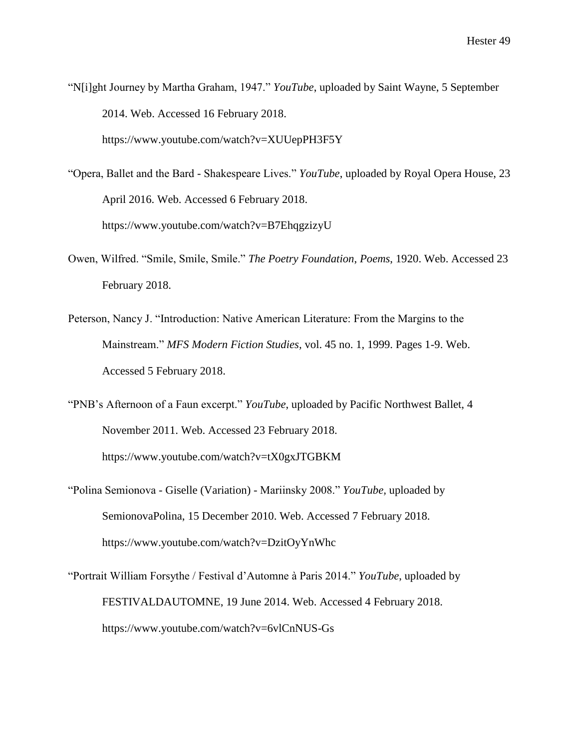"N[i]ght Journey by Martha Graham, 1947." *YouTube*, uploaded by Saint Wayne, 5 September 2014. Web. Accessed 16 February 2018. https://www.youtube.com/watch?v=XUUepPH3F5Y

"Opera, Ballet and the Bard - Shakespeare Lives." *YouTube*, uploaded by Royal Opera House, 23 April 2016. Web. Accessed 6 February 2018. https://www.youtube.com/watch?v=B7EhqgzizyU

- Owen, Wilfred. "Smile, Smile, Smile." *The Poetry Foundation*, *Poems*, 1920. Web. Accessed 23 February 2018.
- Peterson, Nancy J. "Introduction: Native American Literature: From the Margins to the Mainstream." *MFS Modern Fiction Studies,* vol. 45 no. 1, 1999. Pages 1-9. Web. Accessed 5 February 2018.

"PNB's Afternoon of a Faun excerpt." *YouTube*, uploaded by Pacific Northwest Ballet, 4 November 2011. Web. Accessed 23 February 2018. https://www.youtube.com/watch?v=tX0gxJTGBKM

"Polina Semionova - Giselle (Variation) - Mariinsky 2008." *YouTube,* uploaded by SemionovaPolina, 15 December 2010. Web. Accessed 7 February 2018. https://www.youtube.com/watch?v=DzitOyYnWhc

"Portrait William Forsythe / Festival d'Automne à Paris 2014." *YouTube*, uploaded by FESTIVALDAUTOMNE, 19 June 2014. Web. Accessed 4 February 2018. https://www.youtube.com/watch?v=6vlCnNUS-Gs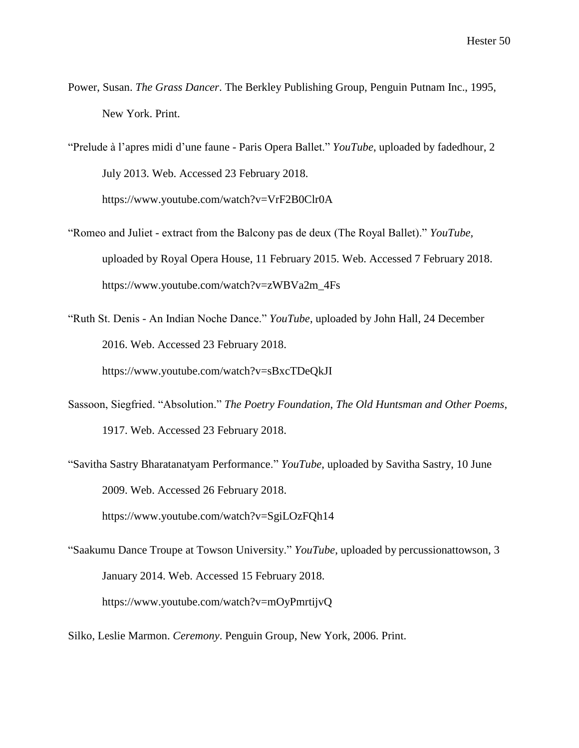- Power, Susan. *The Grass Dancer*. The Berkley Publishing Group, Penguin Putnam Inc., 1995, New York. Print.
- "Prelude à l'apres midi d'une faune Paris Opera Ballet." *YouTube*, uploaded by fadedhour, 2 July 2013. Web. Accessed 23 February 2018. https://www.youtube.com/watch?v=VrF2B0Clr0A
- "Romeo and Juliet extract from the Balcony pas de deux (The Royal Ballet)." *YouTube,* uploaded by Royal Opera House, 11 February 2015. Web. Accessed 7 February 2018. https://www.youtube.com/watch?v=zWBVa2m\_4Fs
- "Ruth St. Denis An Indian Noche Dance." *YouTube*, uploaded by John Hall, 24 December 2016. Web. Accessed 23 February 2018. https://www.youtube.com/watch?v=sBxcTDeQkJI
- Sassoon, Siegfried. "Absolution." *The Poetry Foundation*, *The Old Huntsman and Other Poems*, 1917. Web. Accessed 23 February 2018.
- "Savitha Sastry Bharatanatyam Performance." *YouTube*, uploaded by Savitha Sastry, 10 June 2009. Web. Accessed 26 February 2018.

https://www.youtube.com/watch?v=SgiLOzFQh14

- "Saakumu Dance Troupe at Towson University." *YouTube*, uploaded by percussionattowson, 3 January 2014. Web. Accessed 15 February 2018. https://www.youtube.com/watch?v=mOyPmrtijvQ
- Silko, Leslie Marmon. *Ceremony*. Penguin Group, New York, 2006. Print.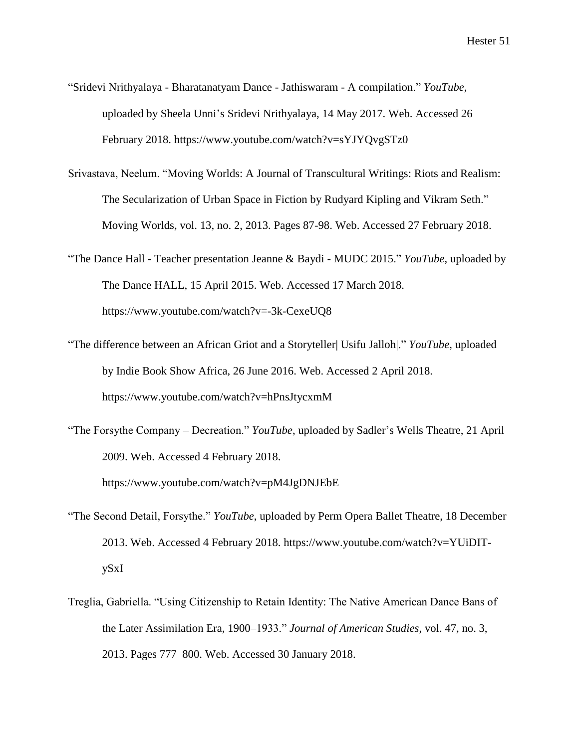- "Sridevi Nrithyalaya Bharatanatyam Dance Jathiswaram A compilation." *YouTube*, uploaded by Sheela Unni's Sridevi Nrithyalaya, 14 May 2017. Web. Accessed 26 February 2018. https://www.youtube.com/watch?v=sYJYQvgSTz0
- Srivastava, Neelum. "Moving Worlds: A Journal of Transcultural Writings: Riots and Realism: The Secularization of Urban Space in Fiction by Rudyard Kipling and Vikram Seth." Moving Worlds, vol. 13, no. 2, 2013. Pages 87-98. Web. Accessed 27 February 2018.
- "The Dance Hall Teacher presentation Jeanne & Baydi MUDC 2015." *YouTube*, uploaded by The Dance HALL, 15 April 2015. Web. Accessed 17 March 2018. https://www.youtube.com/watch?v=-3k-CexeUQ8
- "The difference between an African Griot and a Storyteller| Usifu Jalloh|." *YouTube*, uploaded by Indie Book Show Africa, 26 June 2016. Web. Accessed 2 April 2018. https://www.youtube.com/watch?v=hPnsJtycxmM
- "The Forsythe Company Decreation." *YouTube*, uploaded by Sadler's Wells Theatre, 21 April 2009. Web. Accessed 4 February 2018.

https://www.youtube.com/watch?v=pM4JgDNJEbE

- "The Second Detail, Forsythe." *YouTube*, uploaded by Perm Opera Ballet Theatre, 18 December 2013. Web. Accessed 4 February 2018. https://www.youtube.com/watch?v=YUiDITySxI
- Treglia, Gabriella. "Using Citizenship to Retain Identity: The Native American Dance Bans of the Later Assimilation Era, 1900–1933." *Journal of American Studies*, vol. 47, no. 3, 2013. Pages 777–800. Web. Accessed 30 January 2018.